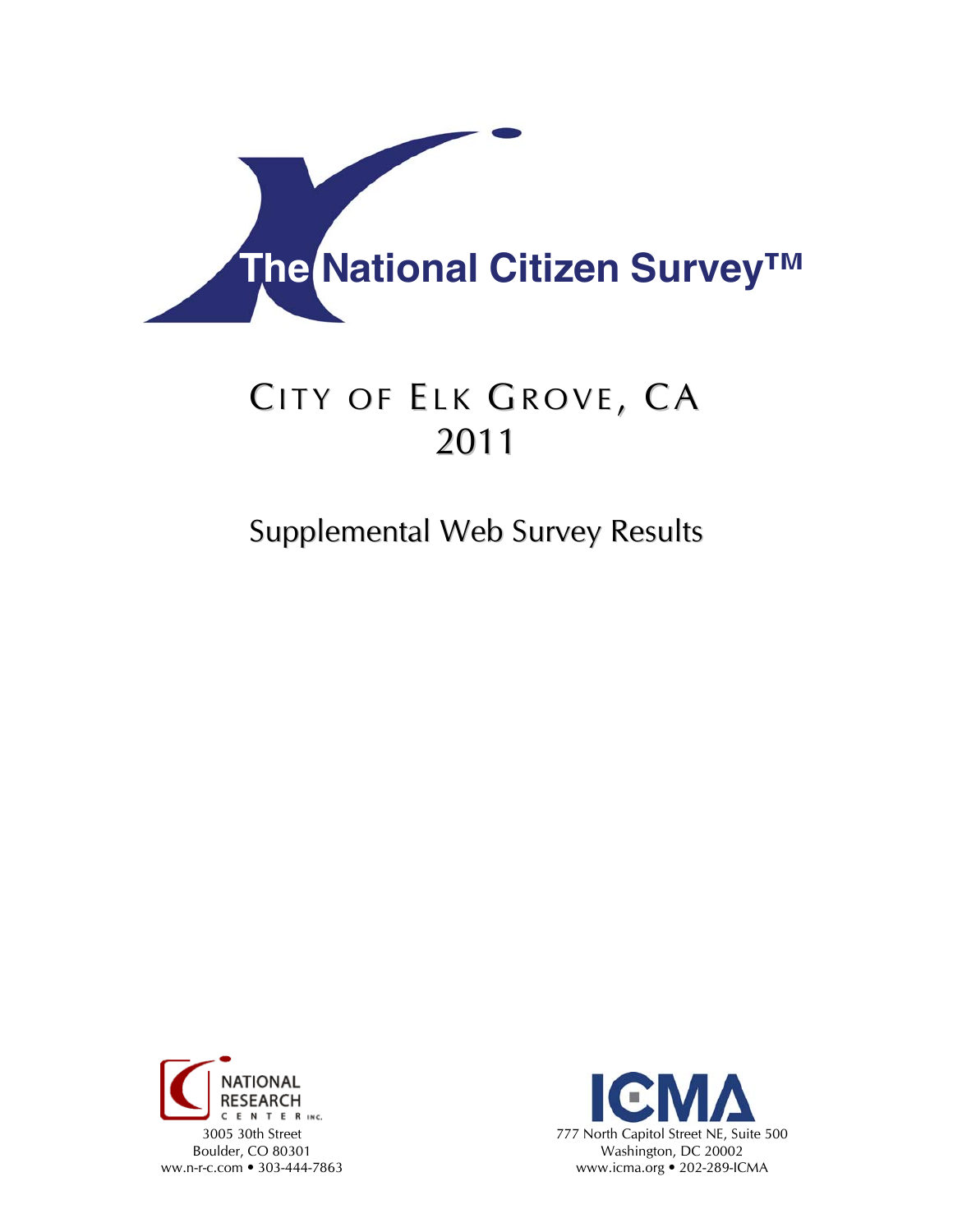

# CITY OF ELK GROVE, CA 2011

## Supplemental Web Survey Results



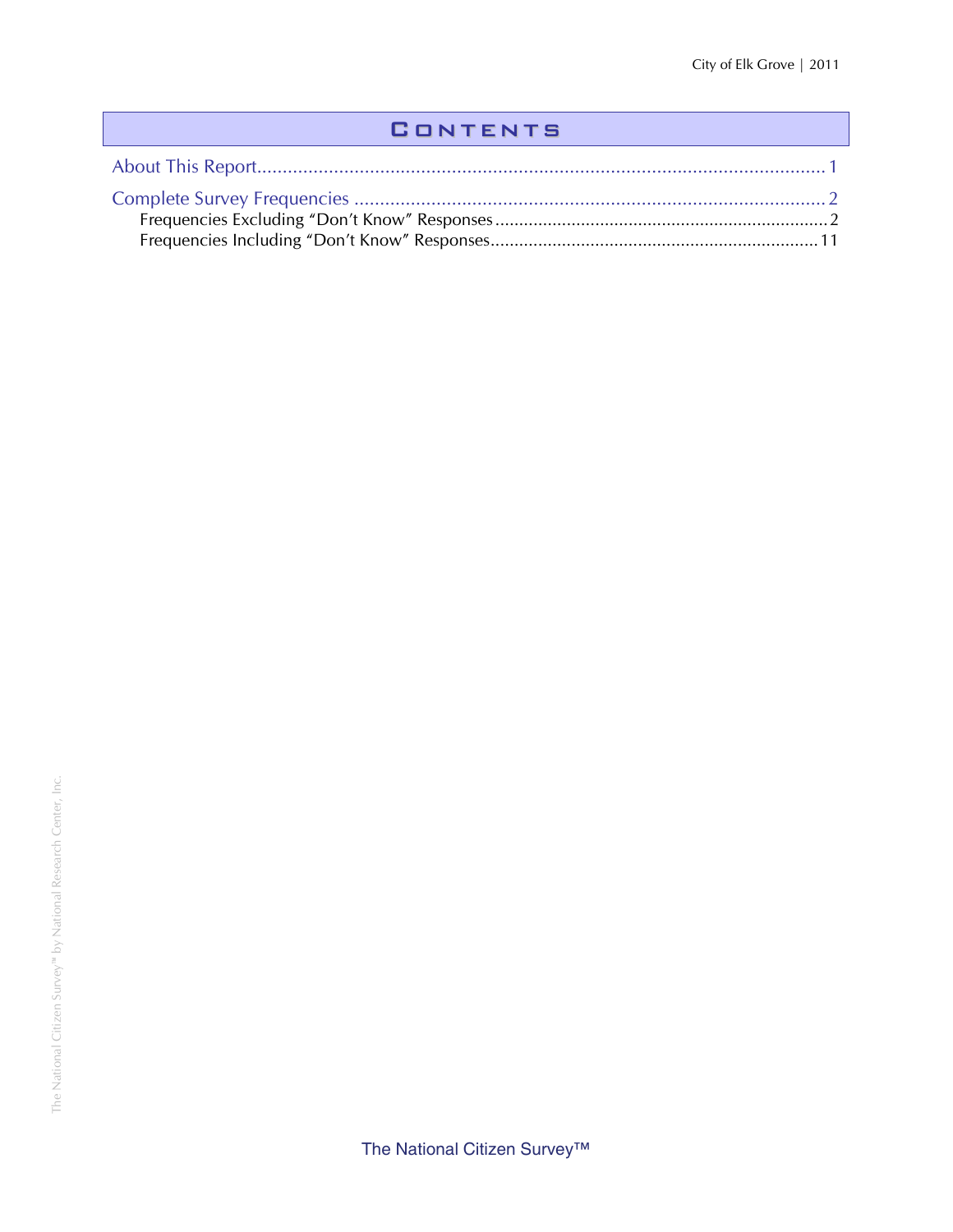### **CONTENTS**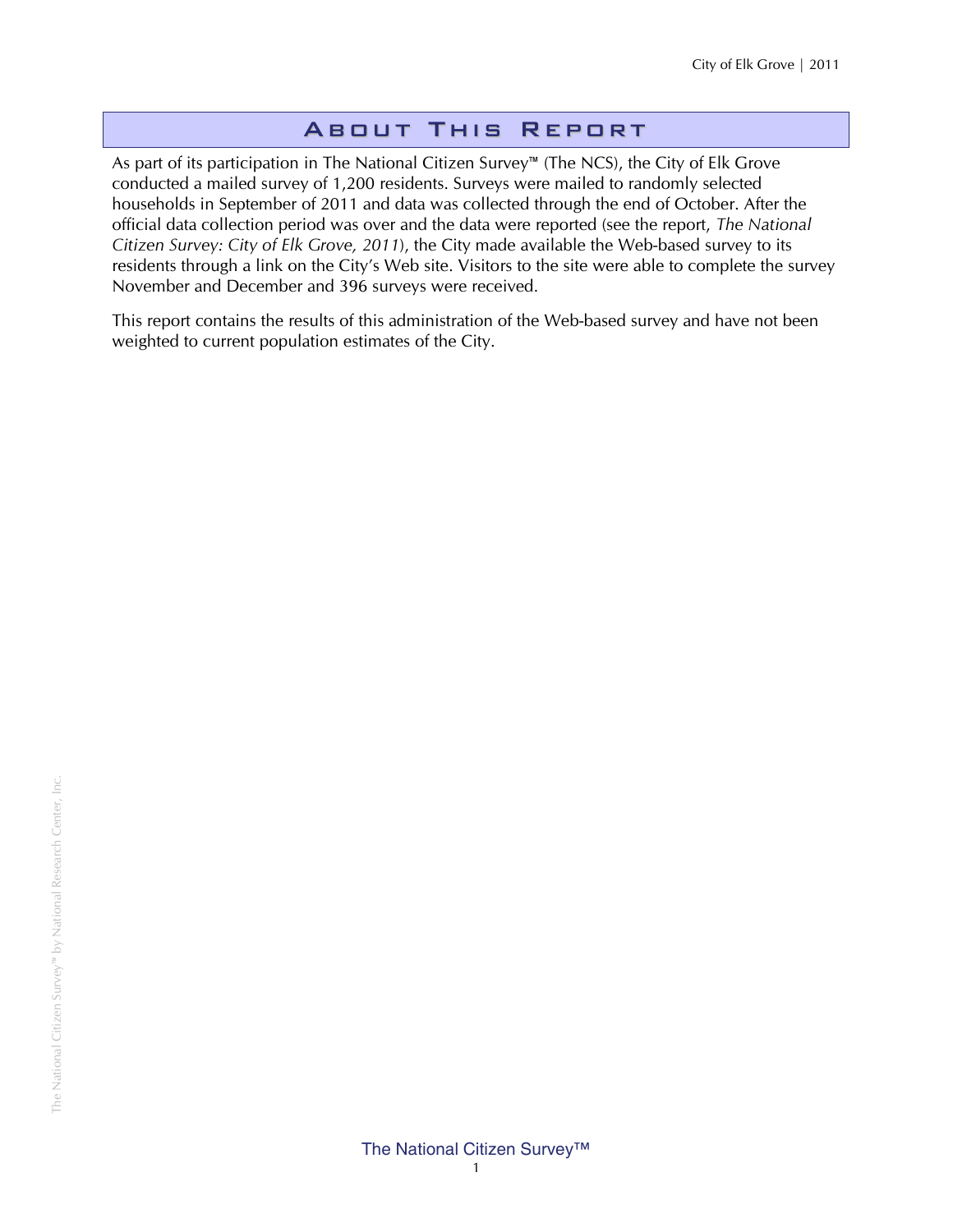#### About This Report

As part of its participation in The National Citizen Survey™ (The NCS), the City of Elk Grove conducted a mailed survey of 1,200 residents. Surveys were mailed to randomly selected households in September of 2011 and data was collected through the end of October. After the official data collection period was over and the data were reported (see the report, *The National Citizen Survey: City of Elk Grove, 2011*), the City made available the Web-based survey to its residents through a link on the City's Web site. Visitors to the site were able to complete the survey November and December and 396 surveys were received.

This report contains the results of this administration of the Web-based survey and have not been weighted to current population estimates of the City.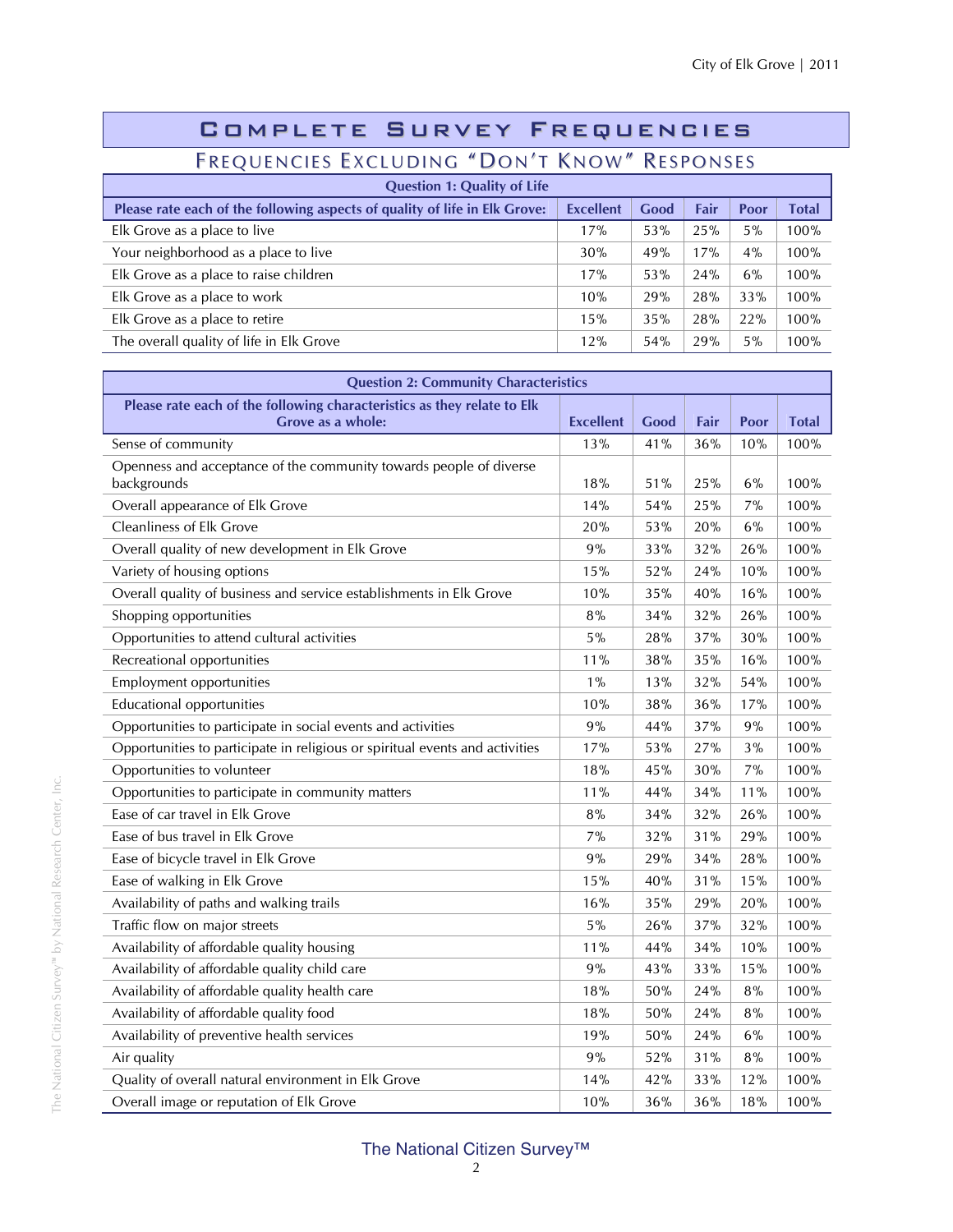| COMPLETE SURVEY FREQUENCIES                                                |                  |      |      |       |              |  |  |  |
|----------------------------------------------------------------------------|------------------|------|------|-------|--------------|--|--|--|
| FREQUENCIES EXCLUDING "DON'T KNOW" RESPONSES                               |                  |      |      |       |              |  |  |  |
| <b>Question 1: Quality of Life</b>                                         |                  |      |      |       |              |  |  |  |
| Please rate each of the following aspects of quality of life in Elk Grove: | <b>Excellent</b> | Good | Fair | Poor  | <b>Total</b> |  |  |  |
| Elk Grove as a place to live                                               | 17%              | 53%  | 25%  | 5%    | 100%         |  |  |  |
| Your neighborhood as a place to live                                       | 30%              | 49%  | 17%  | $4\%$ | 100%         |  |  |  |
| Elk Grove as a place to raise children                                     | 17%              | 53%  | 24%  | 6%    | 100%         |  |  |  |
| Elk Grove as a place to work                                               | 10%              | 29%  | 28%  | 33%   | 100%         |  |  |  |
| Elk Grove as a place to retire                                             | 15%              | 35%  | 28%  | 22%   | 100%         |  |  |  |
| The overall quality of life in Elk Grove                                   | 12%              | 54%  | 29%  | $5\%$ | 100%         |  |  |  |

| <b>Question 2: Community Characteristics</b>                                                 |                  |      |      |      |              |  |  |
|----------------------------------------------------------------------------------------------|------------------|------|------|------|--------------|--|--|
| Please rate each of the following characteristics as they relate to Elk<br>Grove as a whole: | <b>Excellent</b> | Good | Fair | Poor | <b>Total</b> |  |  |
| Sense of community                                                                           | 13%              | 41%  | 36%  | 10%  | 100%         |  |  |
| Openness and acceptance of the community towards people of diverse<br>backgrounds            | 18%              | 51%  | 25%  | 6%   | 100%         |  |  |
| Overall appearance of Elk Grove                                                              | 14%              | 54%  | 25%  | 7%   | 100%         |  |  |
| <b>Cleanliness of Elk Grove</b>                                                              | 20%              | 53%  | 20%  | 6%   | 100%         |  |  |
| Overall quality of new development in Elk Grove                                              | 9%               | 33%  | 32%  | 26%  | 100%         |  |  |
| Variety of housing options                                                                   | $15\%$           | 52%  | 24%  | 10%  | 100%         |  |  |
| Overall quality of business and service establishments in Elk Grove                          | 10%              | 35%  | 40%  | 16%  | 100%         |  |  |
| Shopping opportunities                                                                       | 8%               | 34%  | 32%  | 26%  | 100%         |  |  |
| Opportunities to attend cultural activities                                                  | $5\%$            | 28%  | 37%  | 30%  | 100%         |  |  |
| Recreational opportunities                                                                   | 11%              | 38%  | 35%  | 16%  | 100%         |  |  |
| Employment opportunities                                                                     | $1\%$            | 13%  | 32%  | 54%  | 100%         |  |  |
| <b>Educational opportunities</b>                                                             | 10%              | 38%  | 36%  | 17%  | 100%         |  |  |
| Opportunities to participate in social events and activities                                 | 9%               | 44%  | 37%  | 9%   | 100%         |  |  |
| Opportunities to participate in religious or spiritual events and activities                 | 17%              | 53%  | 27%  | 3%   | 100%         |  |  |
| Opportunities to volunteer                                                                   | $18\%$           | 45%  | 30%  | 7%   | 100%         |  |  |
| Opportunities to participate in community matters                                            | 11%              | 44%  | 34%  | 11%  | 100%         |  |  |
| Ease of car travel in Elk Grove                                                              | 8%               | 34%  | 32%  | 26%  | 100%         |  |  |
| Ease of bus travel in Elk Grove                                                              | 7%               | 32%  | 31%  | 29%  | 100%         |  |  |
| Ease of bicycle travel in Elk Grove                                                          | 9%               | 29%  | 34%  | 28%  | 100%         |  |  |
| Ease of walking in Elk Grove                                                                 | 15%              | 40%  | 31%  | 15%  | 100%         |  |  |
| Availability of paths and walking trails                                                     | 16%              | 35%  | 29%  | 20%  | 100%         |  |  |
| Traffic flow on major streets                                                                | 5%               | 26%  | 37%  | 32%  | 100%         |  |  |
| Availability of affordable quality housing                                                   | 11%              | 44%  | 34%  | 10%  | 100%         |  |  |
| Availability of affordable quality child care                                                | 9%               | 43%  | 33%  | 15%  | 100%         |  |  |
| Availability of affordable quality health care                                               | 18%              | 50%  | 24%  | 8%   | 100%         |  |  |
| Availability of affordable quality food                                                      | 18%              | 50%  | 24%  | 8%   | 100%         |  |  |
| Availability of preventive health services                                                   | 19%              | 50%  | 24%  | 6%   | 100%         |  |  |
| Air quality                                                                                  | 9%               | 52%  | 31%  | 8%   | 100%         |  |  |
| Quality of overall natural environment in Elk Grove                                          | 14%              | 42%  | 33%  | 12%  | 100%         |  |  |
| Overall image or reputation of Elk Grove                                                     | 10%              | 36%  | 36%  | 18%  | 100%         |  |  |

#### The National Citizen Survey™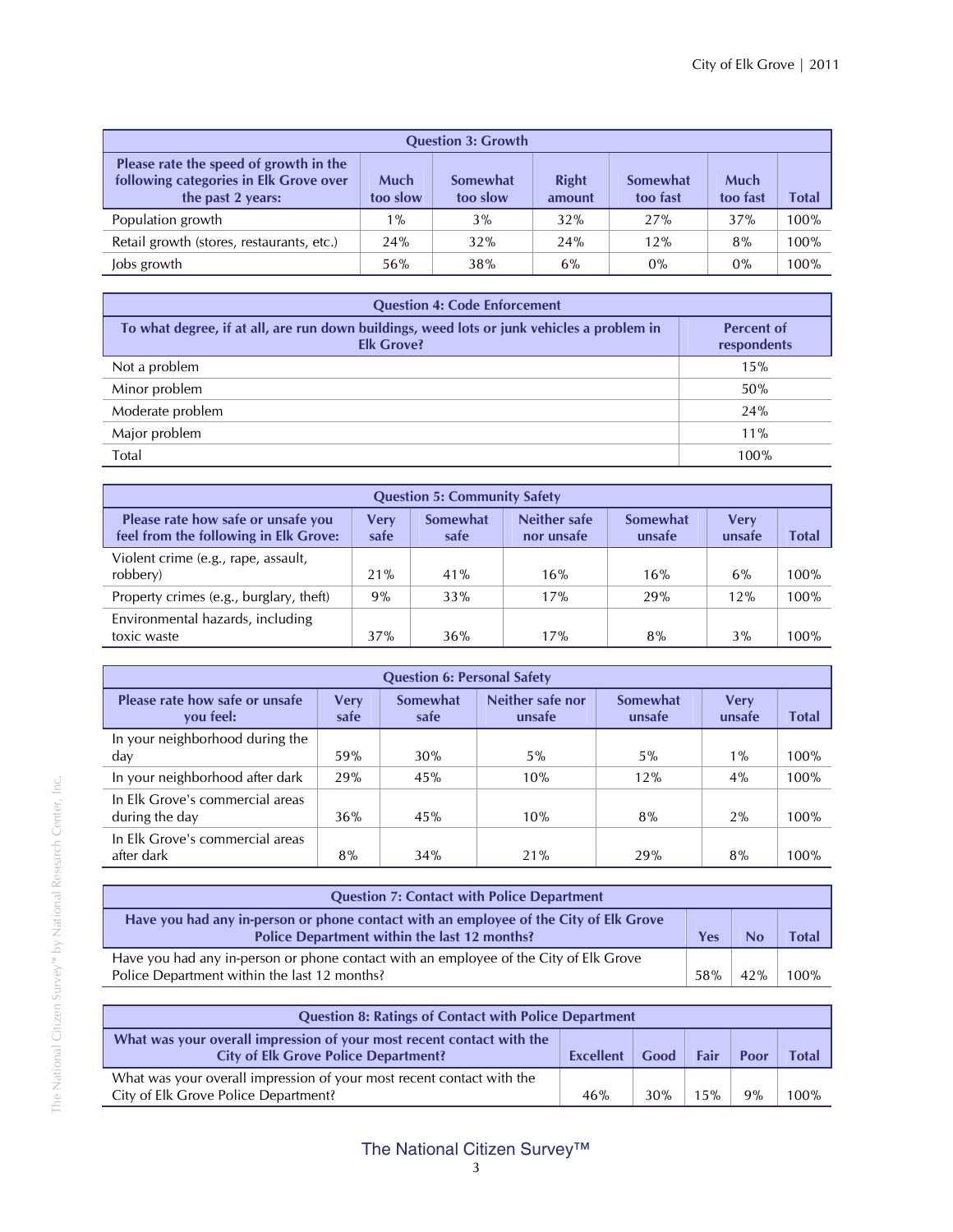| <b>Question 3: Growth</b>                                                                             |                  |                      |                        |                             |                         |       |  |  |  |
|-------------------------------------------------------------------------------------------------------|------------------|----------------------|------------------------|-----------------------------|-------------------------|-------|--|--|--|
| Please rate the speed of growth in the<br>following categories in Elk Grove over<br>the past 2 years: | Much<br>too slow | Somewhat<br>too slow | <b>Right</b><br>amount | <b>Somewhat</b><br>too fast | <b>Much</b><br>too fast | Total |  |  |  |
| Population growth                                                                                     | $1\%$            | 3%                   | 32%                    | 27%                         | 37%                     | 100%  |  |  |  |
| Retail growth (stores, restaurants, etc.)                                                             | 24%              | 32%                  | 24%                    | 12%                         | 8%                      | 100%  |  |  |  |
| Jobs growth                                                                                           | 56%              | 38%                  | 6%                     | $0\%$                       | $0\%$                   | 100%  |  |  |  |

| <b>Question 4: Code Enforcement</b>                                                                             |                                  |  |  |  |  |  |
|-----------------------------------------------------------------------------------------------------------------|----------------------------------|--|--|--|--|--|
| To what degree, if at all, are run down buildings, weed lots or junk vehicles a problem in<br><b>Elk Grove?</b> | <b>Percent of</b><br>respondents |  |  |  |  |  |
| Not a problem                                                                                                   | 15%                              |  |  |  |  |  |
| Minor problem                                                                                                   | 50%                              |  |  |  |  |  |
| Moderate problem                                                                                                | 24%                              |  |  |  |  |  |
| Major problem                                                                                                   | $11\%$                           |  |  |  |  |  |
| Total                                                                                                           | 100%                             |  |  |  |  |  |

| <b>Question 5: Community Safety</b>                                                                                                                                                   |     |     |     |     |     |      |  |  |  |
|---------------------------------------------------------------------------------------------------------------------------------------------------------------------------------------|-----|-----|-----|-----|-----|------|--|--|--|
| Neither safe<br>Please rate how safe or unsafe you<br>Somewhat<br>Somewhat<br>Verv<br>Very<br>feel from the following in Elk Grove:<br>unsafe<br>safe<br>safe<br>nor unsafe<br>unsafe |     |     |     |     |     |      |  |  |  |
| Violent crime (e.g., rape, assault,<br>robbery)                                                                                                                                       | 21% | 41% | 16% | 16% | 6%  | 100% |  |  |  |
| Property crimes (e.g., burglary, theft)                                                                                                                                               | 9%  | 33% | 17% | 29% | 12% | 100% |  |  |  |
| Environmental hazards, including<br>toxic waste                                                                                                                                       | 37% | 36% | 17% | 8%  | 3%  | 100% |  |  |  |

| <b>Question 6: Personal Safety</b>                |                     |                         |                            |                    |                       |       |  |  |  |  |
|---------------------------------------------------|---------------------|-------------------------|----------------------------|--------------------|-----------------------|-------|--|--|--|--|
| Please rate how safe or unsafe<br>you feel:       | <b>Very</b><br>safe | <b>Somewhat</b><br>safe | Neither safe nor<br>unsafe | Somewhat<br>unsafe | <b>Very</b><br>unsafe | Total |  |  |  |  |
| In your neighborhood during the                   |                     |                         |                            |                    |                       |       |  |  |  |  |
| day                                               | 59%                 | 30%                     | $5\%$                      | 5%                 | $1\%$                 | 100%  |  |  |  |  |
| In your neighborhood after dark                   | 29%                 | 45%                     | 10%                        | 12%                | 4%                    | 100%  |  |  |  |  |
| In Elk Grove's commercial areas<br>during the day | 36%                 | 45%                     | 10%                        | 8%                 | 2%                    | 100%  |  |  |  |  |
| In Elk Grove's commercial areas<br>after dark     | 8%                  | 34%                     | 21%                        | 29%                | 8%                    | 100%  |  |  |  |  |

| <b>Question 7: Contact with Police Department</b>                                                                                     |     |     |             |
|---------------------------------------------------------------------------------------------------------------------------------------|-----|-----|-------------|
| Have you had any in-person or phone contact with an employee of the City of Elk Grove<br>Police Department within the last 12 months? | Yes |     | <b>Tota</b> |
| Have you had any in-person or phone contact with an employee of the City of Elk Grove<br>Police Department within the last 12 months? | 58% | 42% | $100\%$     |

| <b>Question 8: Ratings of Contact with Police Department</b>                                                         |           |      |      |      |         |  |  |
|----------------------------------------------------------------------------------------------------------------------|-----------|------|------|------|---------|--|--|
| What was your overall impression of your most recent contact with the<br><b>City of Elk Grove Police Department?</b> | Excellent | Good | Fair | Poor | Total   |  |  |
| What was your overall impression of your most recent contact with the<br>City of Elk Grove Police Department?        |           | 30%  | 15%  | 9%   | $100\%$ |  |  |

#### The National Citizen Survey™ 3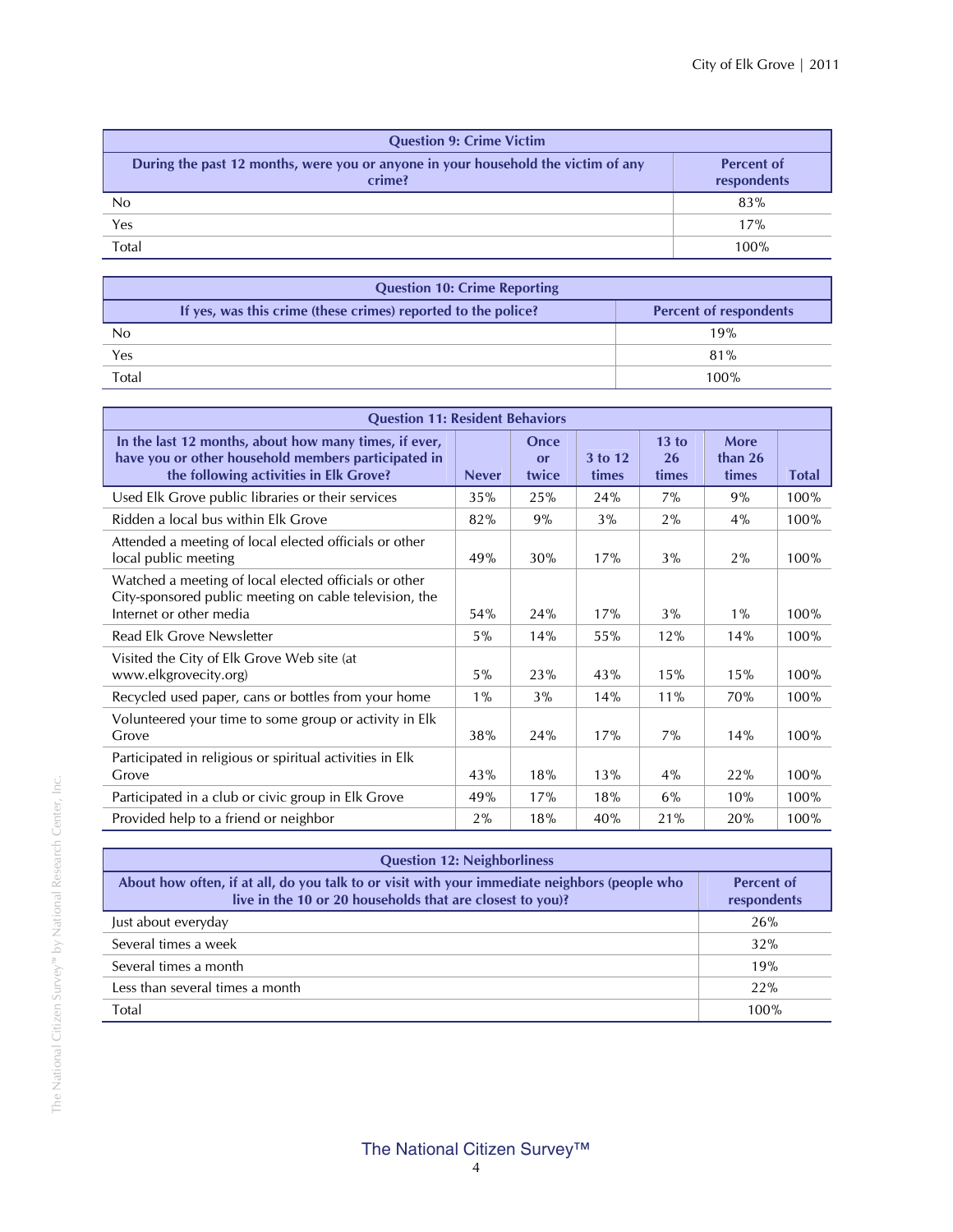| <b>Question 9: Crime Victim</b>                                                             |                                  |  |  |  |  |  |
|---------------------------------------------------------------------------------------------|----------------------------------|--|--|--|--|--|
| During the past 12 months, were you or anyone in your household the victim of any<br>crime? | <b>Percent of</b><br>respondents |  |  |  |  |  |
| No                                                                                          | 83%                              |  |  |  |  |  |
| Yes                                                                                         | 17%                              |  |  |  |  |  |
| Total                                                                                       | 100%                             |  |  |  |  |  |

| <b>Question 10: Crime Reporting</b> |                                                               |                               |  |  |  |  |
|-------------------------------------|---------------------------------------------------------------|-------------------------------|--|--|--|--|
|                                     | If yes, was this crime (these crimes) reported to the police? | <b>Percent of respondents</b> |  |  |  |  |
| No                                  |                                                               | 19%                           |  |  |  |  |
| Yes                                 |                                                               | 81%                           |  |  |  |  |
| Total                               |                                                               | $100\%$                       |  |  |  |  |

| <b>Question 11: Resident Behaviors</b>                                                                                                                 |              |                     |                  |                      |                          |              |  |  |
|--------------------------------------------------------------------------------------------------------------------------------------------------------|--------------|---------------------|------------------|----------------------|--------------------------|--------------|--|--|
| In the last 12 months, about how many times, if ever,<br>have you or other household members participated in<br>the following activities in Elk Grove? | <b>Never</b> | Once<br>or<br>twice | 3 to 12<br>times | 13 to<br>26<br>times | More<br>than 26<br>times | <b>Total</b> |  |  |
| Used Elk Grove public libraries or their services                                                                                                      | 35%          | 25%                 | 24%              | $7\%$                | 9%                       | 100%         |  |  |
| Ridden a local bus within Elk Grove                                                                                                                    | 82%          | 9%                  | 3%               | 2%                   | 4%                       | 100%         |  |  |
| Attended a meeting of local elected officials or other<br>local public meeting                                                                         | 49%          | 30%                 | 17%              | 3%                   | $2\%$                    | 100%         |  |  |
| Watched a meeting of local elected officials or other<br>City-sponsored public meeting on cable television, the<br>Internet or other media             | 54%          | 24%                 | 17%              | 3%                   | $1\%$                    | 100%         |  |  |
| Read Elk Grove Newsletter                                                                                                                              | 5%           | 14%                 | 55%              | 12%                  | 14%                      | 100%         |  |  |
| Visited the City of Elk Grove Web site (at<br>www.elkgrovecity.org)                                                                                    | 5%           | 23%                 | 43%              | 15%                  | 15%                      | 100%         |  |  |
| Recycled used paper, cans or bottles from your home                                                                                                    | $1\%$        | 3%                  | 14%              | 11%                  | 70%                      | 100%         |  |  |
| Volunteered your time to some group or activity in Elk<br>Grove                                                                                        | 38%          | 24%                 | 17%              | 7%                   | 14%                      | 100%         |  |  |
| Participated in religious or spiritual activities in Elk<br>Grove                                                                                      | 43%          | 18%                 | 13%              | 4%                   | 22%                      | 100%         |  |  |
| Participated in a club or civic group in Elk Grove                                                                                                     | 49%          | 17%                 | 18%              | $6\%$                | 10%                      | 100%         |  |  |
| Provided help to a friend or neighbor                                                                                                                  | 2%           | 18%                 | 40%              | 21%                  | 20%                      | 100%         |  |  |

| <b>Question 12: Neighborliness</b>                                                                                                                         |                                  |  |  |  |  |  |
|------------------------------------------------------------------------------------------------------------------------------------------------------------|----------------------------------|--|--|--|--|--|
| About how often, if at all, do you talk to or visit with your immediate neighbors (people who<br>live in the 10 or 20 households that are closest to you)? | <b>Percent of</b><br>respondents |  |  |  |  |  |
| Just about everyday                                                                                                                                        | 26%                              |  |  |  |  |  |
| Several times a week                                                                                                                                       | 32%                              |  |  |  |  |  |
| Several times a month                                                                                                                                      | 19%                              |  |  |  |  |  |
| Less than several times a month                                                                                                                            | 22%                              |  |  |  |  |  |
| Total                                                                                                                                                      | 100%                             |  |  |  |  |  |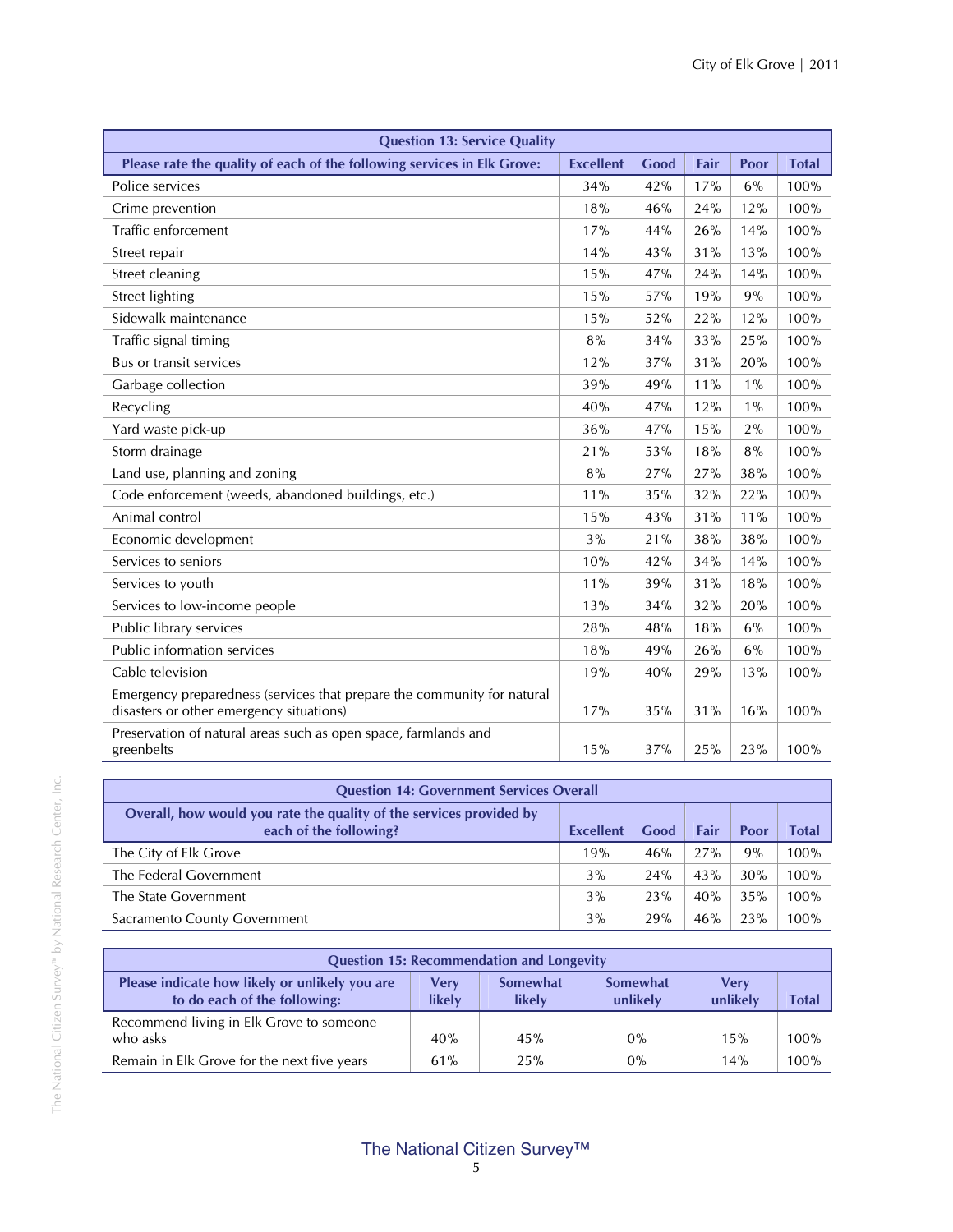| <b>Question 13: Service Quality</b>                                                                                 |                  |      |      |       |              |  |
|---------------------------------------------------------------------------------------------------------------------|------------------|------|------|-------|--------------|--|
| Please rate the quality of each of the following services in Elk Grove:                                             | <b>Excellent</b> | Good | Fair | Poor  | <b>Total</b> |  |
| Police services                                                                                                     | 34%              | 42%  | 17%  | 6%    | 100%         |  |
| Crime prevention                                                                                                    | 18%              | 46%  | 24%  | 12%   | 100%         |  |
| Traffic enforcement                                                                                                 | 17%              | 44%  | 26%  | 14%   | 100%         |  |
| Street repair                                                                                                       | 14%              | 43%  | 31%  | 13%   | 100%         |  |
| Street cleaning                                                                                                     | 15%              | 47%  | 24%  | 14%   | 100%         |  |
| Street lighting                                                                                                     | 15%              | 57%  | 19%  | 9%    | 100%         |  |
| Sidewalk maintenance                                                                                                | 15%              | 52%  | 22%  | 12%   | 100%         |  |
| Traffic signal timing                                                                                               | 8%               | 34%  | 33%  | 25%   | 100%         |  |
| Bus or transit services                                                                                             | 12%              | 37%  | 31%  | 20%   | 100%         |  |
| Garbage collection                                                                                                  | 39%              | 49%  | 11%  | $1\%$ | 100%         |  |
| Recycling                                                                                                           | 40%              | 47%  | 12%  | $1\%$ | 100%         |  |
| Yard waste pick-up                                                                                                  | 36%              | 47%  | 15%  | 2%    | 100%         |  |
| Storm drainage                                                                                                      | 21%              | 53%  | 18%  | 8%    | 100%         |  |
| Land use, planning and zoning                                                                                       | 8%               | 27%  | 27%  | 38%   | 100%         |  |
| Code enforcement (weeds, abandoned buildings, etc.)                                                                 | 11%              | 35%  | 32%  | 22%   | 100%         |  |
| Animal control                                                                                                      | 15%              | 43%  | 31%  | 11%   | 100%         |  |
| Economic development                                                                                                | 3%               | 21%  | 38%  | 38%   | 100%         |  |
| Services to seniors                                                                                                 | 10%              | 42%  | 34%  | 14%   | 100%         |  |
| Services to youth                                                                                                   | 11%              | 39%  | 31%  | 18%   | 100%         |  |
| Services to low-income people                                                                                       | 13%              | 34%  | 32%  | 20%   | 100%         |  |
| Public library services                                                                                             | 28%              | 48%  | 18%  | 6%    | 100%         |  |
| Public information services                                                                                         | 18%              | 49%  | 26%  | 6%    | 100%         |  |
| Cable television                                                                                                    | 19%              | 40%  | 29%  | 13%   | 100%         |  |
| Emergency preparedness (services that prepare the community for natural<br>disasters or other emergency situations) | 17%              | 35%  | 31%  | 16%   | 100%         |  |
| Preservation of natural areas such as open space, farmlands and<br>greenbelts                                       | 15%              | 37%  | 25%  | 23%   | 100%         |  |

| <b>Question 14: Government Services Overall</b>                                               |           |      |      |      |       |  |  |
|-----------------------------------------------------------------------------------------------|-----------|------|------|------|-------|--|--|
| Overall, how would you rate the quality of the services provided by<br>each of the following? | Excellent | Good | Fair | Poor | Total |  |  |
| The City of Elk Grove                                                                         | 19%       | 46%  | 27%  | 9%   | 100%  |  |  |
| The Federal Government                                                                        | 3%        | 24%  | 43%  | 30%  | 100%  |  |  |
| The State Government                                                                          | 3%        | 23%  | 40%  | 35%  | 100%  |  |  |
| Sacramento County Government                                                                  | 3%        | 29%  | 46%  | 23%  | 100%  |  |  |

| <b>Question 15: Recommendation and Longevity</b>                               |                |                           |                             |                  |              |  |  |  |
|--------------------------------------------------------------------------------|----------------|---------------------------|-----------------------------|------------------|--------------|--|--|--|
| Please indicate how likely or unlikely you are<br>to do each of the following: | Verv<br>likely | <b>Somewhat</b><br>likely | <b>Somewhat</b><br>unlikely | Verv<br>unlikely | <b>Total</b> |  |  |  |
| Recommend living in Elk Grove to someone                                       |                |                           |                             |                  |              |  |  |  |
| who asks                                                                       | 40%            | 45%                       | 0%                          | 15%              | 100%         |  |  |  |
| Remain in Elk Grove for the next five years                                    | 61%            | 25%                       | 0%                          | 14%              | 100%         |  |  |  |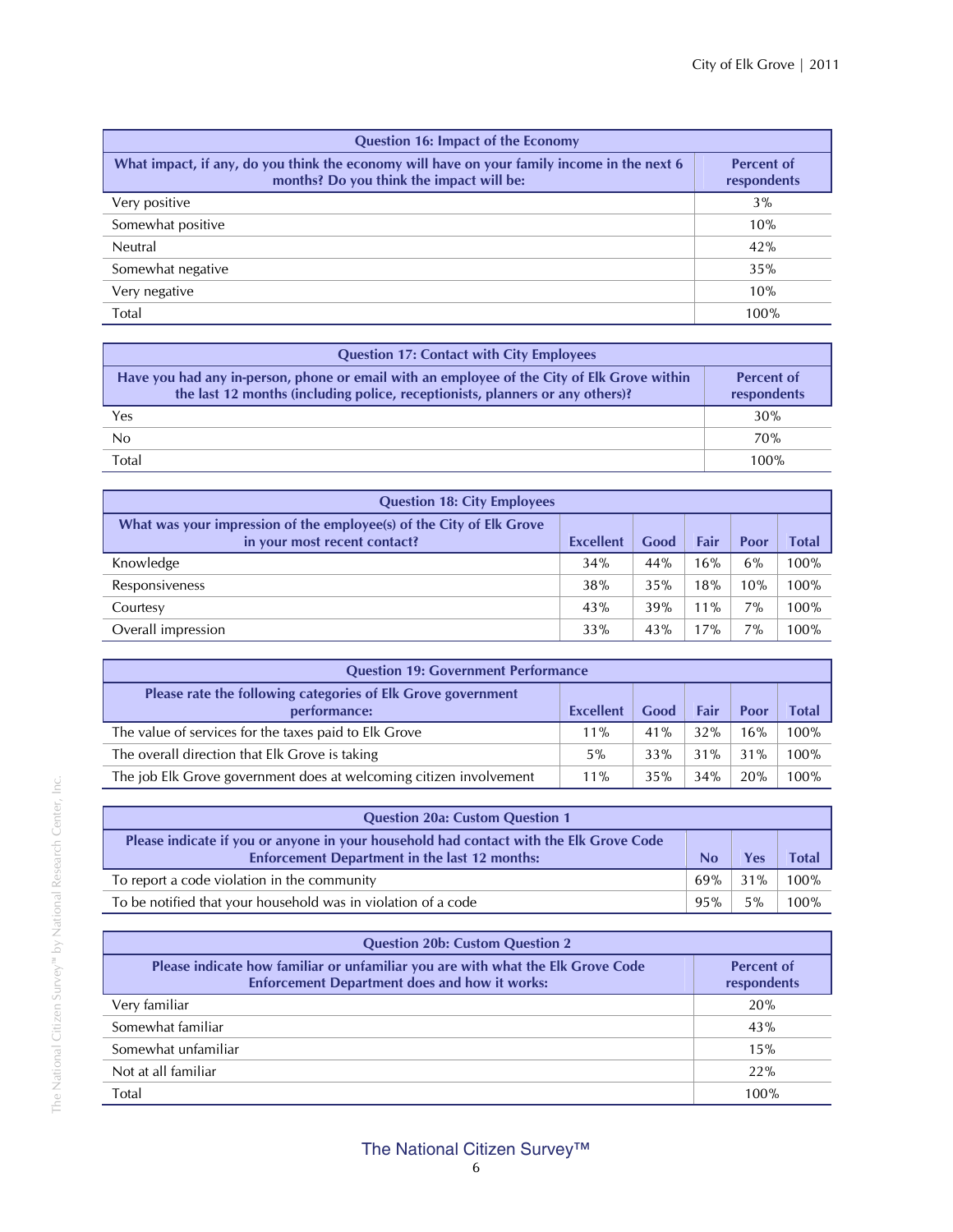| <b>Question 16: Impact of the Economy</b>                                                                                               |                                  |  |  |  |  |  |
|-----------------------------------------------------------------------------------------------------------------------------------------|----------------------------------|--|--|--|--|--|
| What impact, if any, do you think the economy will have on your family income in the next 6<br>months? Do you think the impact will be: | <b>Percent of</b><br>respondents |  |  |  |  |  |
| Very positive                                                                                                                           | $3\%$                            |  |  |  |  |  |
| Somewhat positive                                                                                                                       | 10%                              |  |  |  |  |  |
| Neutral                                                                                                                                 | 42%                              |  |  |  |  |  |
| Somewhat negative                                                                                                                       | 35%                              |  |  |  |  |  |
| Very negative                                                                                                                           | 10%                              |  |  |  |  |  |
| Total                                                                                                                                   | 100%                             |  |  |  |  |  |

| <b>Question 17: Contact with City Employees</b>                                                                                                                              |                                  |
|------------------------------------------------------------------------------------------------------------------------------------------------------------------------------|----------------------------------|
| Have you had any in-person, phone or email with an employee of the City of Elk Grove within<br>the last 12 months (including police, receptionists, planners or any others)? | <b>Percent of</b><br>respondents |
| Yes                                                                                                                                                                          | 30%                              |
| No                                                                                                                                                                           | 70%                              |
| Total                                                                                                                                                                        | 100%                             |

| <b>Question 18: City Employees</b>                                                                   |                  |      |        |      |       |  |  |
|------------------------------------------------------------------------------------------------------|------------------|------|--------|------|-------|--|--|
| What was your impression of the employee(s) of the City of Elk Grove<br>in your most recent contact? | <b>Excellent</b> | Good | Fair   | Poor | Total |  |  |
| Knowledge                                                                                            | 34%              | 44%  | 16%    | 6%   | 100%  |  |  |
| Responsiveness                                                                                       | 38%              | 35%  | 18%    | 10%  | 100%  |  |  |
| Courtesy                                                                                             | 43%              | 39%  | $11\%$ | 7%   | 100%  |  |  |
| Overall impression                                                                                   | 33%              | 43%  | 17%    | 7%   | 100%  |  |  |

| <b>Question 19: Government Performance</b>                                   |                  |      |      |      |              |  |
|------------------------------------------------------------------------------|------------------|------|------|------|--------------|--|
| Please rate the following categories of Elk Grove government<br>performance: | <b>Excellent</b> | Good | Fair | Poor | <b>Total</b> |  |
| The value of services for the taxes paid to Elk Grove                        | $11\%$           | 41%  | 32%  | 16%  | 100%         |  |
| The overall direction that Elk Grove is taking                               | 5%               | 33%  | 31%  | 31%  | 100%         |  |
| The job Elk Grove government does at welcoming citizen involvement           | $11\%$           | 35%  | 34%  | 20%  | 100%         |  |

| <b>Question 20a: Custom Question 1</b>                                                                                                         |     |        |              |  |  |
|------------------------------------------------------------------------------------------------------------------------------------------------|-----|--------|--------------|--|--|
| Please indicate if you or anyone in your household had contact with the Elk Grove Code<br><b>Enforcement Department in the last 12 months:</b> | No  | Yes    | <b>Total</b> |  |  |
| To report a code violation in the community                                                                                                    | 69% | $31\%$ | 100%         |  |  |
| To be notified that your household was in violation of a code                                                                                  | 95% | $5\%$  | 100%         |  |  |

| <b>Question 20b: Custom Question 2</b>                                                                                                  |                                  |  |  |  |  |  |
|-----------------------------------------------------------------------------------------------------------------------------------------|----------------------------------|--|--|--|--|--|
| Please indicate how familiar or unfamiliar you are with what the Elk Grove Code<br><b>Enforcement Department does and how it works:</b> | <b>Percent of</b><br>respondents |  |  |  |  |  |
| Very familiar                                                                                                                           | 20%                              |  |  |  |  |  |
| Somewhat familiar                                                                                                                       | 43%                              |  |  |  |  |  |
| Somewhat unfamiliar                                                                                                                     | 15%                              |  |  |  |  |  |
| Not at all familiar                                                                                                                     | 22%                              |  |  |  |  |  |
| Total                                                                                                                                   | 100%                             |  |  |  |  |  |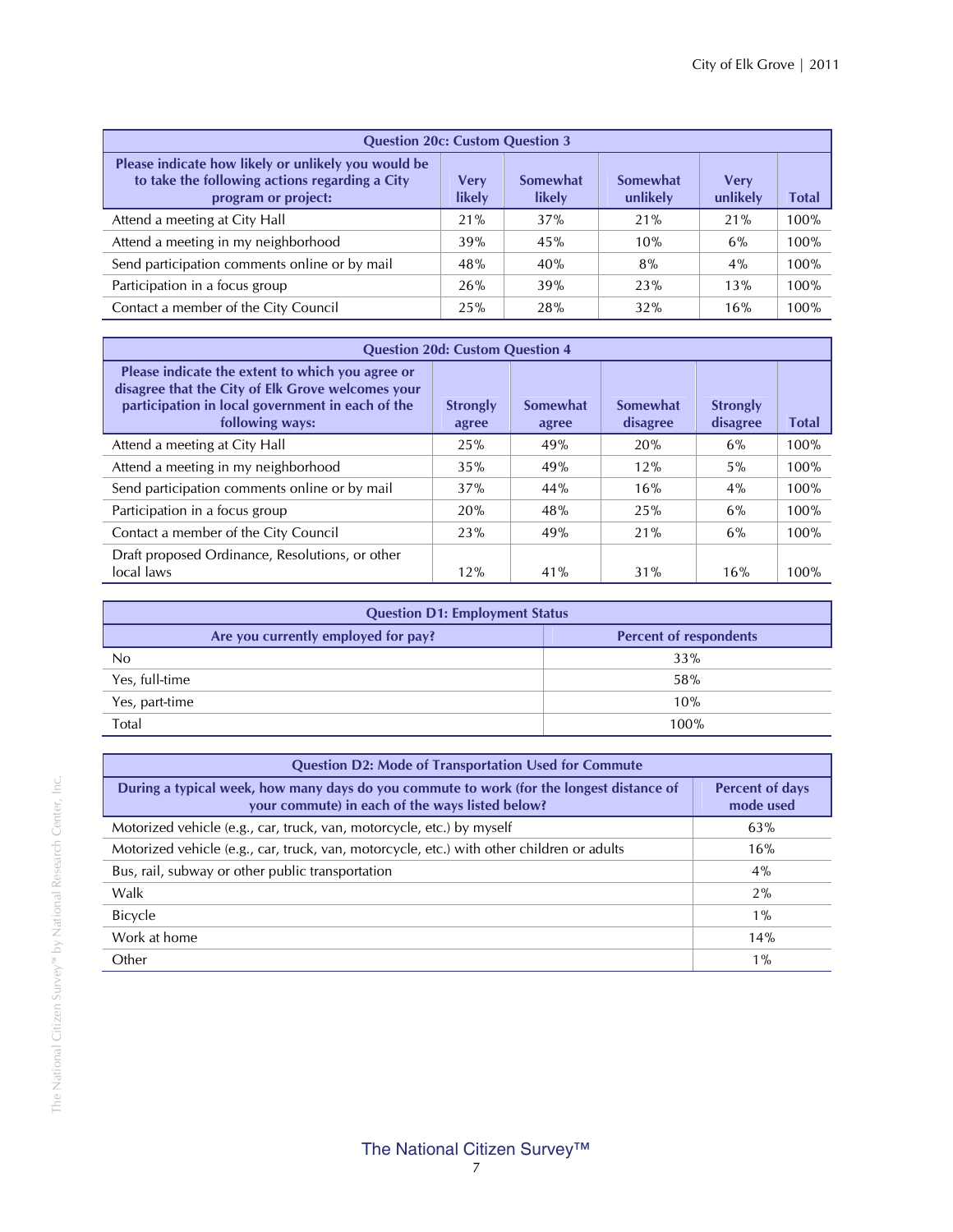| <b>Question 20c: Custom Question 3</b>                                                                                       |                |                    |                      |                         |       |  |  |  |
|------------------------------------------------------------------------------------------------------------------------------|----------------|--------------------|----------------------|-------------------------|-------|--|--|--|
| Please indicate how likely or unlikely you would be<br>to take the following actions regarding a City<br>program or project: | Very<br>likely | Somewhat<br>likely | Somewhat<br>unlikely | <b>Verv</b><br>unlikely | Total |  |  |  |
| Attend a meeting at City Hall                                                                                                | 21%            | 37%                | 21%                  | 21%                     | 100%  |  |  |  |
| Attend a meeting in my neighborhood                                                                                          | 39%            | 45%                | 10%                  | 6%                      | 100%  |  |  |  |
| Send participation comments online or by mail                                                                                | 48%            | 40%                | 8%                   | 4%                      | 100%  |  |  |  |
| Participation in a focus group                                                                                               | 26%            | 39%                | 23%                  | 13%                     | 100%  |  |  |  |
| Contact a member of the City Council                                                                                         | 25%            | 28%                | 32%                  | 16%                     | 100%  |  |  |  |

| <b>Question 20d: Custom Question 4</b>                                                                                                                                       |                          |                   |                      |                             |              |  |  |  |
|------------------------------------------------------------------------------------------------------------------------------------------------------------------------------|--------------------------|-------------------|----------------------|-----------------------------|--------------|--|--|--|
| Please indicate the extent to which you agree or<br>disagree that the City of Elk Grove welcomes your<br>participation in local government in each of the<br>following ways: | <b>Strongly</b><br>agree | Somewhat<br>agree | Somewhat<br>disagree | <b>Strongly</b><br>disagree | <b>Total</b> |  |  |  |
| Attend a meeting at City Hall                                                                                                                                                | 25%                      | 49%               | 20%                  | 6%                          | 100%         |  |  |  |
| Attend a meeting in my neighborhood                                                                                                                                          | 35%                      | 49%               | 12%                  | 5%                          | 100%         |  |  |  |
| Send participation comments online or by mail                                                                                                                                | 37%                      | 44%               | 16%                  | 4%                          | 100%         |  |  |  |
| Participation in a focus group                                                                                                                                               | 20%                      | 48%               | 25%                  | 6%                          | 100%         |  |  |  |
| Contact a member of the City Council                                                                                                                                         | 23%                      | 49%               | 21%                  | 6%                          | 100%         |  |  |  |
| Draft proposed Ordinance, Resolutions, or other<br>local laws                                                                                                                | 12%                      | 41%               | 31%                  | 16%                         | 100%         |  |  |  |

| <b>Question D1: Employment Status</b> |                               |
|---------------------------------------|-------------------------------|
| Are you currently employed for pay?   | <b>Percent of respondents</b> |
| No                                    | 33%                           |
| Yes, full-time                        | 58%                           |
| Yes, part-time                        | 10%                           |
| Total                                 | 100%                          |

| <b>Question D2: Mode of Transportation Used for Commute</b>                                                                                 |                                     |
|---------------------------------------------------------------------------------------------------------------------------------------------|-------------------------------------|
| During a typical week, how many days do you commute to work (for the longest distance of<br>your commute) in each of the ways listed below? | <b>Percent of days</b><br>mode used |
| Motorized vehicle (e.g., car, truck, van, motorcycle, etc.) by myself                                                                       | 63%                                 |
| Motorized vehicle (e.g., car, truck, van, motorcycle, etc.) with other children or adults                                                   | 16%                                 |
| Bus, rail, subway or other public transportation                                                                                            | 4%                                  |
| Walk                                                                                                                                        | 2%                                  |
| <b>Bicycle</b>                                                                                                                              | $1\%$                               |
| Work at home                                                                                                                                | 14%                                 |
| Other                                                                                                                                       | $1\%$                               |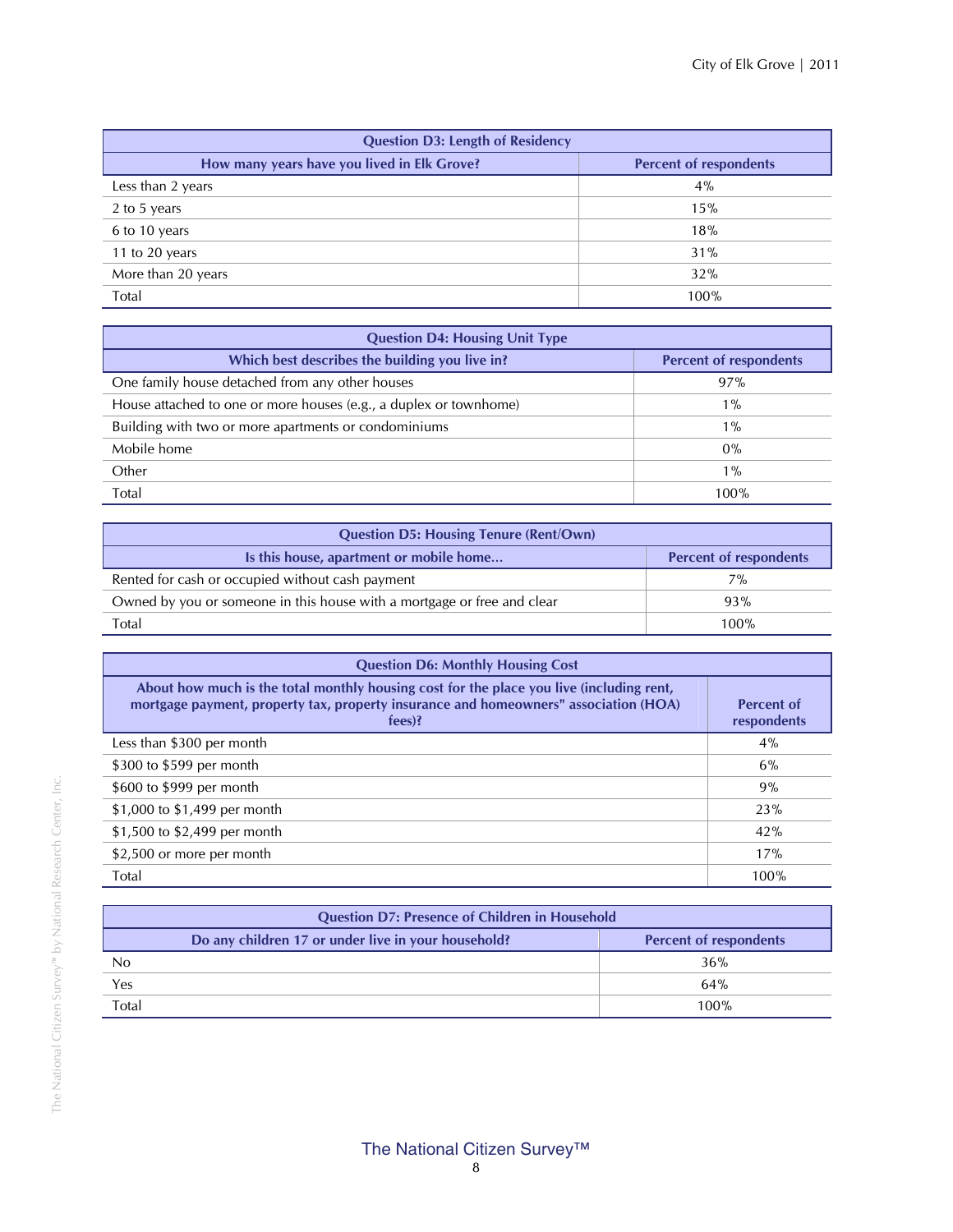| <b>Question D3: Length of Residency</b>     |                               |
|---------------------------------------------|-------------------------------|
| How many years have you lived in Elk Grove? | <b>Percent of respondents</b> |
| Less than 2 years                           | $4\%$                         |
| 2 to 5 years                                | 15%                           |
| 6 to 10 years                               | 18%                           |
| 11 to 20 years                              | 31%                           |
| More than 20 years                          | 32%                           |
| Total                                       | 100%                          |

| <b>Question D4: Housing Unit Type</b>                             |                               |  |
|-------------------------------------------------------------------|-------------------------------|--|
| Which best describes the building you live in?                    | <b>Percent of respondents</b> |  |
| One family house detached from any other houses                   | 97%                           |  |
| House attached to one or more houses (e.g., a duplex or townhome) | $1\%$                         |  |
| Building with two or more apartments or condominiums              | $1\%$                         |  |
| Mobile home                                                       | $0\%$                         |  |
| Other                                                             | $1\%$                         |  |
| Total                                                             | 100%                          |  |

| <b>Question D5: Housing Tenure (Rent/Own)</b>                           |                               |  |
|-------------------------------------------------------------------------|-------------------------------|--|
| Is this house, apartment or mobile home                                 | <b>Percent of respondents</b> |  |
| Rented for cash or occupied without cash payment                        | 7%                            |  |
| Owned by you or someone in this house with a mortgage or free and clear | 93%                           |  |
| Total                                                                   | $100\%$                       |  |

| <b>Question D6: Monthly Housing Cost</b>                                                                                                                                                     |                                  |
|----------------------------------------------------------------------------------------------------------------------------------------------------------------------------------------------|----------------------------------|
| About how much is the total monthly housing cost for the place you live (including rent,<br>mortgage payment, property tax, property insurance and homeowners" association (HOA)<br>$fees$ ? | <b>Percent of</b><br>respondents |
| Less than \$300 per month                                                                                                                                                                    | $4\%$                            |
| \$300 to \$599 per month                                                                                                                                                                     | 6%                               |
| \$600 to \$999 per month                                                                                                                                                                     | 9%                               |
| \$1,000 to \$1,499 per month                                                                                                                                                                 | 23%                              |
| \$1,500 to \$2,499 per month                                                                                                                                                                 | 42%                              |
| \$2,500 or more per month                                                                                                                                                                    | 17%                              |
| Total                                                                                                                                                                                        | 100%                             |

| <b>Question D7: Presence of Children in Household</b>                                |  |      |
|--------------------------------------------------------------------------------------|--|------|
| Do any children 17 or under live in your household?<br><b>Percent of respondents</b> |  |      |
| No                                                                                   |  | 36%  |
| Yes                                                                                  |  | 64%  |
| Total                                                                                |  | 100% |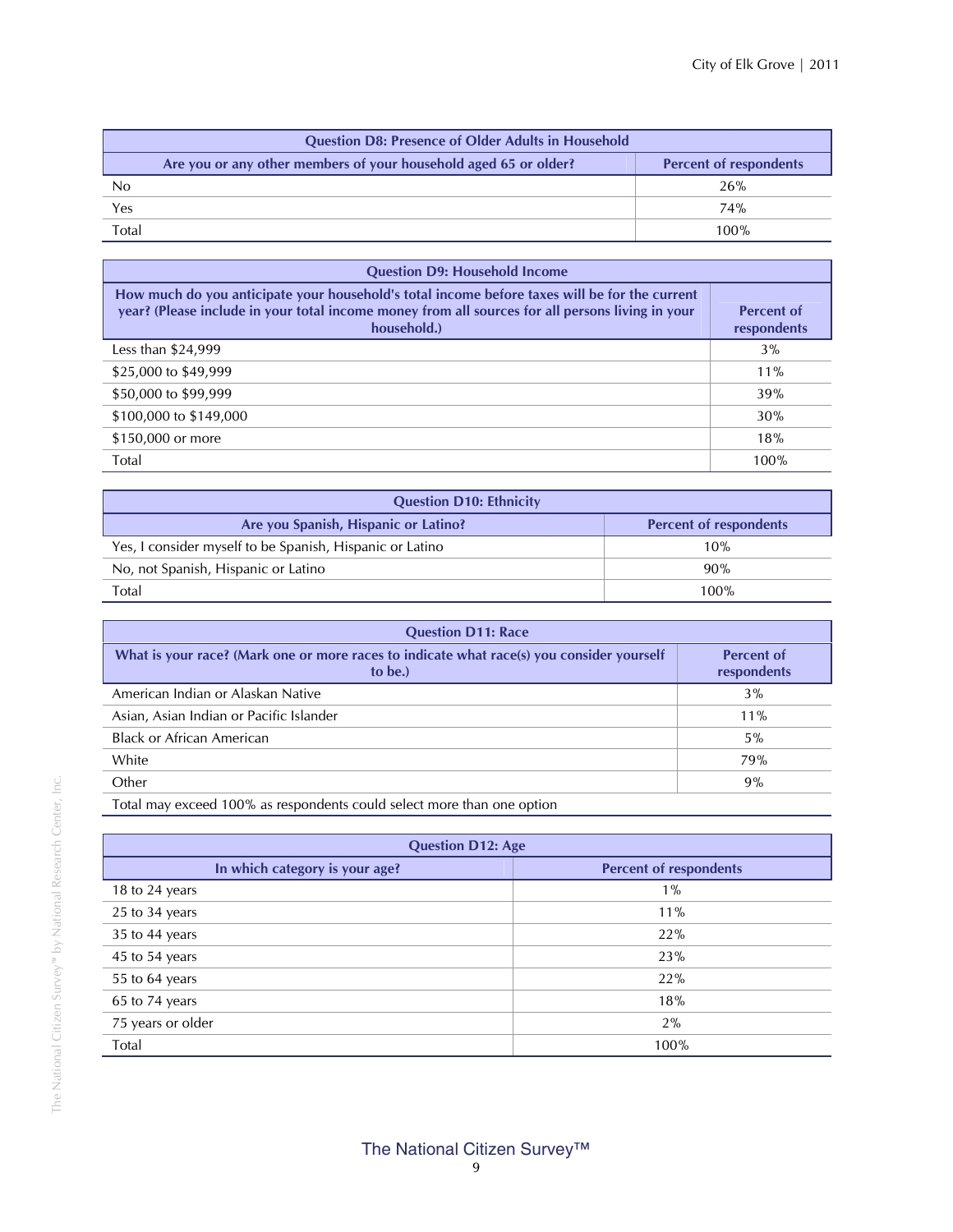| <b>Question D8: Presence of Older Adults in Household</b>        |                               |
|------------------------------------------------------------------|-------------------------------|
| Are you or any other members of your household aged 65 or older? | <b>Percent of respondents</b> |
| No                                                               | 26%                           |
| Yes                                                              | 74%                           |
| Total                                                            | 100%                          |

| <b>Question D9: Household Income</b>                                                                                                                                                                             |                                  |
|------------------------------------------------------------------------------------------------------------------------------------------------------------------------------------------------------------------|----------------------------------|
| How much do you anticipate your household's total income before taxes will be for the current<br>year? (Please include in your total income money from all sources for all persons living in your<br>household.) | <b>Percent of</b><br>respondents |
| Less than \$24,999                                                                                                                                                                                               | $3\%$                            |
| \$25,000 to \$49,999                                                                                                                                                                                             | $11\%$                           |
| \$50,000 to \$99,999                                                                                                                                                                                             | 39%                              |
| \$100,000 to \$149,000                                                                                                                                                                                           | 30%                              |
| \$150,000 or more                                                                                                                                                                                                | 18%                              |
| Total                                                                                                                                                                                                            | 100%                             |

| <b>Question D10: Ethnicity</b>                           |                               |
|----------------------------------------------------------|-------------------------------|
| Are you Spanish, Hispanic or Latino?                     | <b>Percent of respondents</b> |
| Yes, I consider myself to be Spanish, Hispanic or Latino | 10%                           |
| No, not Spanish, Hispanic or Latino                      | 90%                           |
| Total                                                    | 100%                          |

| <b>Question D11: Race</b>                                                                            |                                  |
|------------------------------------------------------------------------------------------------------|----------------------------------|
| What is your race? (Mark one or more races to indicate what race(s) you consider yourself<br>to be.) | <b>Percent of</b><br>respondents |
| American Indian or Alaskan Native                                                                    | 3%                               |
| Asian, Asian Indian or Pacific Islander                                                              | $11\%$                           |
| <b>Black or African American</b>                                                                     | $5\%$                            |
| White                                                                                                | 79%                              |
| Other                                                                                                | 9%                               |
|                                                                                                      |                                  |

Total may exceed 100% as respondents could select more than one option

| <b>Question D12: Age</b>       |                               |  |
|--------------------------------|-------------------------------|--|
| In which category is your age? | <b>Percent of respondents</b> |  |
| 18 to 24 years                 | $1\%$                         |  |
| 25 to 34 years                 | 11%                           |  |
| $35$ to 44 years               | 22%                           |  |
| 45 to 54 years                 | 23%                           |  |
| 55 to 64 years                 | 22%                           |  |
| 65 to 74 years                 | 18%                           |  |
| 75 years or older              | 2%                            |  |
| Total                          | 100%                          |  |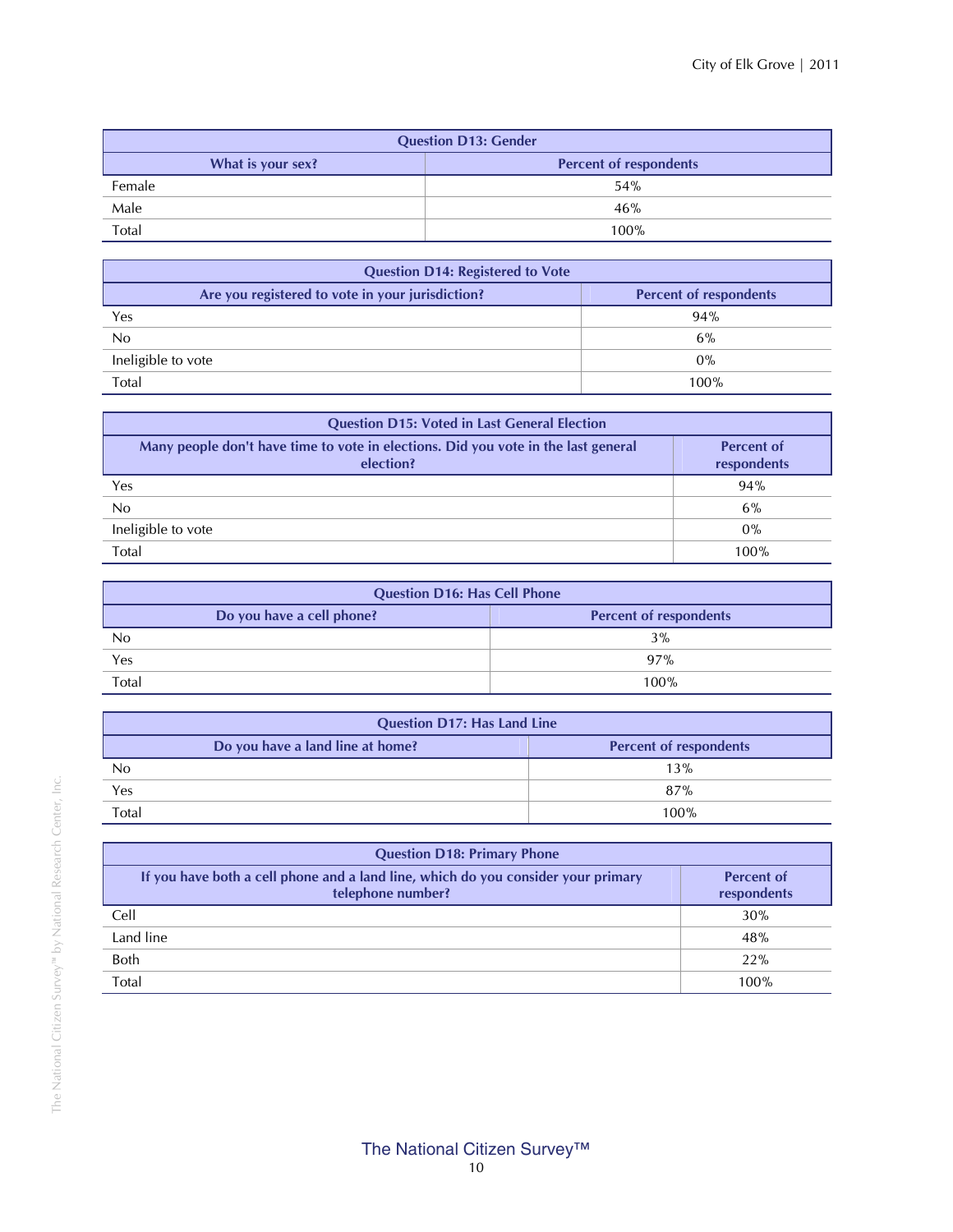| <b>Question D13: Gender</b> |                               |  |  |  |  |  |  |  |  |  |
|-----------------------------|-------------------------------|--|--|--|--|--|--|--|--|--|
| What is your sex?           | <b>Percent of respondents</b> |  |  |  |  |  |  |  |  |  |
| Female                      | 54%                           |  |  |  |  |  |  |  |  |  |
| Male                        | 46%                           |  |  |  |  |  |  |  |  |  |
| Total                       | 100%                          |  |  |  |  |  |  |  |  |  |

| <b>Question D14: Registered to Vote</b>          |                               |  |  |  |  |  |  |  |  |  |  |
|--------------------------------------------------|-------------------------------|--|--|--|--|--|--|--|--|--|--|
| Are you registered to vote in your jurisdiction? | <b>Percent of respondents</b> |  |  |  |  |  |  |  |  |  |  |
| Yes                                              | 94%                           |  |  |  |  |  |  |  |  |  |  |
| No                                               | 6%                            |  |  |  |  |  |  |  |  |  |  |
| Ineligible to vote                               | $0\%$                         |  |  |  |  |  |  |  |  |  |  |
| Total                                            | 100%                          |  |  |  |  |  |  |  |  |  |  |

| <b>Question D15: Voted in Last General Election</b>                                             |                                  |
|-------------------------------------------------------------------------------------------------|----------------------------------|
| Many people don't have time to vote in elections. Did you vote in the last general<br>election? | <b>Percent of</b><br>respondents |
| Yes                                                                                             | 94%                              |
| No                                                                                              | 6%                               |
| Ineligible to vote                                                                              | $0\%$                            |
| Total                                                                                           | 100%                             |
|                                                                                                 |                                  |

| <b>Question D16: Has Cell Phone</b> |                               |
|-------------------------------------|-------------------------------|
| Do you have a cell phone?           | <b>Percent of respondents</b> |
| No                                  | 3%                            |
| Yes                                 | 97%                           |
| Total                               | 100%                          |

| <b>Question D17: Has Land Line</b> |                               |
|------------------------------------|-------------------------------|
| Do you have a land line at home?   | <b>Percent of respondents</b> |
| No                                 | 13%                           |
| Yes                                | 87%                           |
| Total                              | 100%                          |

| <b>Question D18: Primary Phone</b>                                                                     |                                  |  |  |  |  |  |  |  |  |  |  |
|--------------------------------------------------------------------------------------------------------|----------------------------------|--|--|--|--|--|--|--|--|--|--|
| If you have both a cell phone and a land line, which do you consider your primary<br>telephone number? | <b>Percent of</b><br>respondents |  |  |  |  |  |  |  |  |  |  |
| Cell                                                                                                   | 30%                              |  |  |  |  |  |  |  |  |  |  |
| Land line                                                                                              | 48%                              |  |  |  |  |  |  |  |  |  |  |
| Both                                                                                                   | 22%                              |  |  |  |  |  |  |  |  |  |  |
| Total                                                                                                  | 100%                             |  |  |  |  |  |  |  |  |  |  |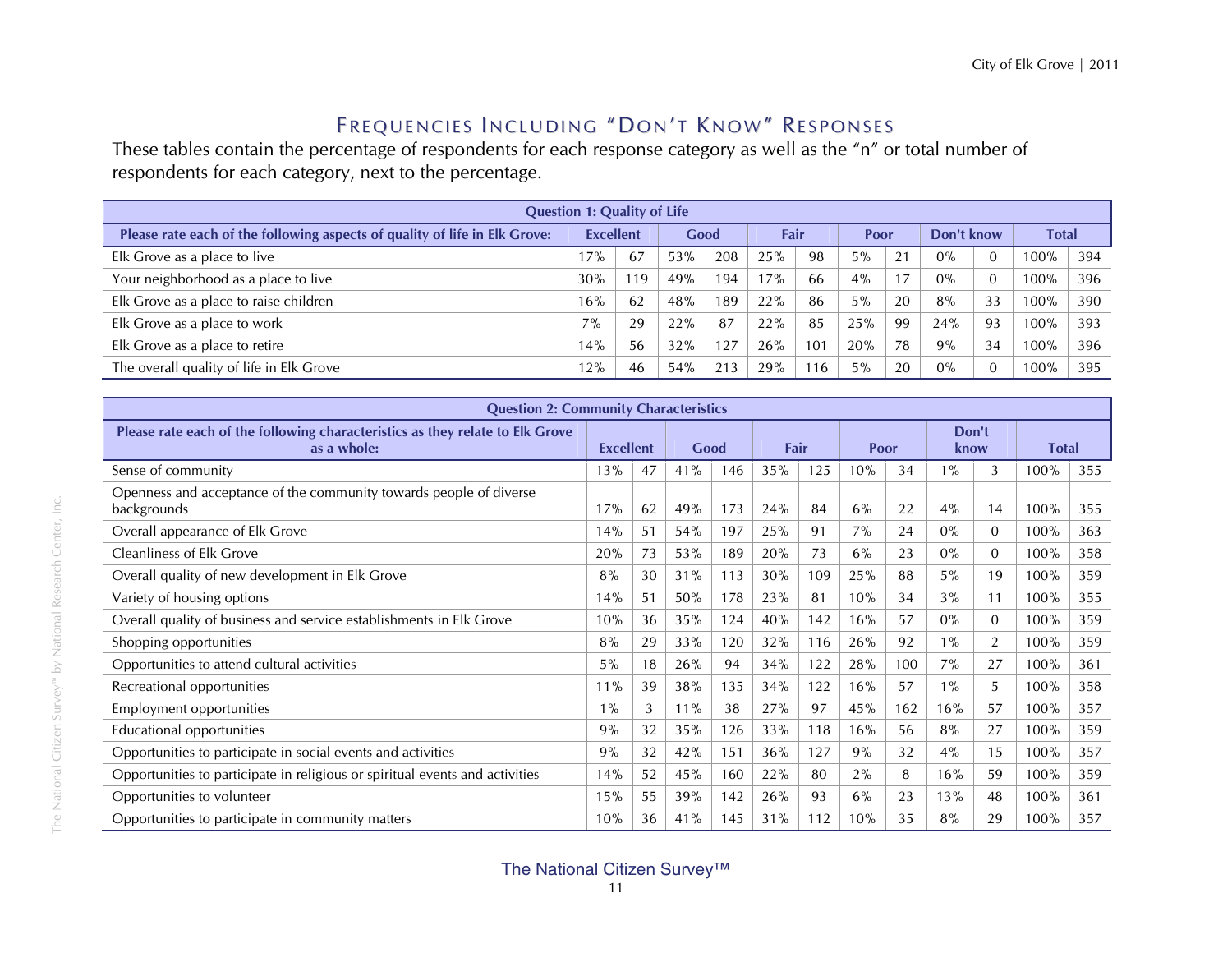#### Frequencies Including "Don't Know" Responses

These tables contain the percentage of respondents for each response category as well as the "n" or total number of respondents for each category, next to the percentage.

| <b>Question 1: Quality of Life</b>                                         |                  |     |      |     |      |     |       |    |            |     |              |     |  |  |
|----------------------------------------------------------------------------|------------------|-----|------|-----|------|-----|-------|----|------------|-----|--------------|-----|--|--|
| Please rate each of the following aspects of quality of life in Elk Grove: | <b>Excellent</b> |     | Good |     | Fair |     | Poor  |    | Don't know |     | <b>Total</b> |     |  |  |
| Elk Grove as a place to live                                               | 17%              | 67  | 53%  | 208 | 25%  | 98  | $5\%$ | 21 | 0%         |     | 100%         | 394 |  |  |
| Your neighborhood as a place to live                                       | 30%              | 119 | 49%  | 194 | 17%  | 66  | 4%    |    | $0\%$      |     | 100%         | 396 |  |  |
| Elk Grove as a place to raise children                                     | 16%              | 62  | 48%  | 189 | 22%  | 86  | 5%    | 20 | 8%         | 33  | 100%         | 390 |  |  |
| Elk Grove as a place to work                                               | $7\%$            | 29  | 22%  | 87  | 22%  | 85  | 25%   | 99 | 24%        | -93 | 100%         | 393 |  |  |
| Elk Grove as a place to retire                                             | 14%              | 56  | 32%  | 127 | 26%  | 101 | 20%   | 78 | 9%         | 34  | 100%         | 396 |  |  |
| The overall quality of life in Elk Grove                                   | 12%              | 46  | 54%  | 213 | 29%  | 116 | 5%    | 20 | 0%         |     | $100\%$      | 395 |  |  |

| <b>Question 2: Community Characteristics</b>                                                 |       |                  |     |      |      |     |      |     |               |                |              |     |
|----------------------------------------------------------------------------------------------|-------|------------------|-----|------|------|-----|------|-----|---------------|----------------|--------------|-----|
| Please rate each of the following characteristics as they relate to Elk Grove<br>as a whole: |       | <b>Excellent</b> |     | Good | Fair |     | Poor |     | Don't<br>know |                | <b>Total</b> |     |
| Sense of community                                                                           | 13%   | 47               | 41% | 146  | 35%  | 125 | 10%  | 34  | $1\%$         | 3              | 100%         | 355 |
| Openness and acceptance of the community towards people of diverse<br>backgrounds            | 17%   | 62               | 49% | 173  | 24%  | 84  | 6%   | 22  | 4%            | 14             | 100%         | 355 |
| Overall appearance of Elk Grove                                                              | 14%   | 51               | 54% | 197  | 25%  | 91  | 7%   | 24  | $0\%$         | $\Omega$       | 100%         | 363 |
| <b>Cleanliness of Elk Grove</b>                                                              | 20%   | 73               | 53% | 189  | 20%  | 73  | 6%   | 23  | $0\%$         | $\overline{0}$ | 100%         | 358 |
| Overall quality of new development in Elk Grove                                              | 8%    | 30               | 31% | 113  | 30%  | 109 | 25%  | 88  | 5%            | 19             | 100%         | 359 |
| Variety of housing options                                                                   | 14%   | 51               | 50% | 178  | 23%  | 81  | 10%  | 34  | 3%            | 11             | 100%         | 355 |
| Overall quality of business and service establishments in Elk Grove                          | 10%   | 36               | 35% | 124  | 40%  | 142 | 16%  | 57  | $0\%$         | $\overline{0}$ | 100%         | 359 |
| Shopping opportunities                                                                       | 8%    | 29               | 33% | 120  | 32%  | 116 | 26%  | 92  | $1\%$         | 2              | 100%         | 359 |
| Opportunities to attend cultural activities                                                  | $5\%$ | 18               | 26% | 94   | 34%  | 122 | 28%  | 100 | 7%            | 27             | 100%         | 361 |
| Recreational opportunities                                                                   | 11%   | 39               | 38% | 135  | 34%  | 122 | 16%  | 57  | $1\%$         | 5              | 100%         | 358 |
| Employment opportunities                                                                     | $1\%$ | 3                | 11% | 38   | 27%  | 97  | 45%  | 162 | 16%           | 57             | 100%         | 357 |
| Educational opportunities                                                                    | 9%    | 32               | 35% | 126  | 33%  | 118 | 16%  | 56  | 8%            | 27             | 100%         | 359 |
| Opportunities to participate in social events and activities                                 | 9%    | 32               | 42% | 151  | 36%  | 127 | 9%   | 32  | 4%            | 15             | 100%         | 357 |
| Opportunities to participate in religious or spiritual events and activities                 | 14%   | 52               | 45% | 160  | 22%  | 80  | 2%   | 8   | 16%           | 59             | 100%         | 359 |
| Opportunities to volunteer                                                                   | 15%   | 55               | 39% | 142  | 26%  | 93  | 6%   | 23  | 13%           | 48             | 100%         | 361 |
| Opportunities to participate in community matters                                            | 10%   | 36               | 41% | 145  | 31%  | 112 | 10%  | 35  | 8%            | 29             | 100%         | 357 |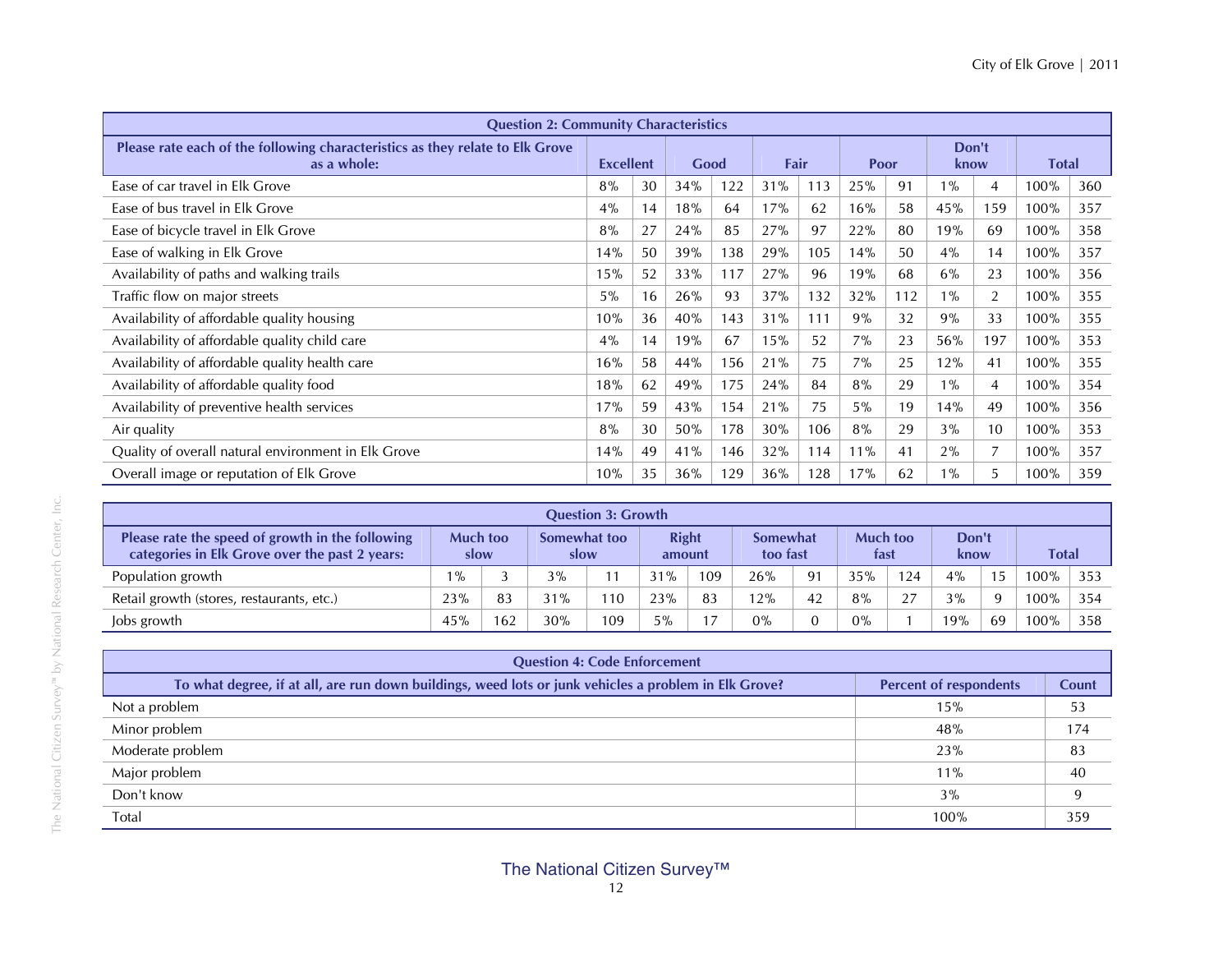| <b>Question 2: Community Characteristics</b>                                                 |                  |    |      |     |      |     |       |     |               |                 |              |     |
|----------------------------------------------------------------------------------------------|------------------|----|------|-----|------|-----|-------|-----|---------------|-----------------|--------------|-----|
| Please rate each of the following characteristics as they relate to Elk Grove<br>as a whole: | <b>Excellent</b> |    | Good |     | Fair |     | Poor  |     | Don't<br>know |                 | <b>Total</b> |     |
| Ease of car travel in Elk Grove                                                              | 8%               | 30 | 34%  | 122 | 31%  | 113 | 25%   | 91  | $1\%$         | 4               | 100%         | 360 |
| Ease of bus travel in Elk Grove                                                              | 4%               | 14 | 18%  | 64  | 17%  | 62  | 16%   | 58  | 45%           | 159             | 100%         | 357 |
| Ease of bicycle travel in Elk Grove                                                          | 8%               | 27 | 24%  | 85  | 27%  | 97  | 22%   | 80  | 19%           | 69              | 100%         | 358 |
| Ease of walking in Elk Grove                                                                 | 14%              | 50 | 39%  | 138 | 29%  | 105 | 14%   | 50  | 4%            | 14              | 100%         | 357 |
| Availability of paths and walking trails                                                     | 15%              | 52 | 33%  | 117 | 27%  | 96  | 19%   | 68  | $6\%$         | 23              | $100\%$      | 356 |
| Traffic flow on major streets                                                                | $5\%$            | 16 | 26%  | 93  | 37%  | 132 | 32%   | 112 | $1\%$         | 2               | $100\%$      | 355 |
| Availability of affordable quality housing                                                   | 10%              | 36 | 40%  | 143 | 31%  | 111 | 9%    | 32  | 9%            | 33              | 100%         | 355 |
| Availability of affordable quality child care                                                | 4%               | 14 | 19%  | 67  | 15%  | 52  | 7%    | 23  | 56%           | 197             | 100%         | 353 |
| Availability of affordable quality health care                                               | 16%              | 58 | 44%  | 156 | 21%  | 75  | $7\%$ | 25  | 12%           | 41              | 100%         | 355 |
| Availability of affordable quality food                                                      | 18%              | 62 | 49%  | 175 | 24%  | 84  | 8%    | 29  | $1\%$         | 4               | 100%         | 354 |
| Availability of preventive health services                                                   | 17%              | 59 | 43%  | 154 | 21%  | 75  | $5\%$ | 19  | 14%           | 49              | $100\%$      | 356 |
| Air quality                                                                                  | 8%               | 30 | 50%  | 178 | 30%  | 106 | 8%    | 29  | 3%            | 10 <sup>°</sup> | 100%         | 353 |
| Quality of overall natural environment in Elk Grove                                          | 14%              | 49 | 41%  | 146 | 32%  | 114 | 11%   | 41  | 2%            |                 | 100%         | 357 |
| Overall image or reputation of Elk Grove                                                     | 10%              | 35 | 36%  | 129 | 36%  | 128 | 17%   | 62  | $1\%$         | 5.              | 100%         | 359 |

| <b>Question 3: Growth</b>                                                                          |                         |     |                      |     |                        |     |                      |    |                  |     |               |          |        |     |
|----------------------------------------------------------------------------------------------------|-------------------------|-----|----------------------|-----|------------------------|-----|----------------------|----|------------------|-----|---------------|----------|--------|-----|
| Please rate the speed of growth in the following<br>categories in Elk Grove over the past 2 years: | <b>Much too</b><br>slow |     | Somewhat too<br>slow |     | <b>Right</b><br>amount |     | Somewhat<br>too fast |    | Much too<br>fast |     | Don't<br>know |          | Total  |     |
| Population growth                                                                                  | $1\%$                   |     | 3%                   |     | 31%                    | 109 | 26%                  | 91 | 35%              | 124 | 4%            | 15       | $00\%$ | 353 |
| Retail growth (stores, restaurants, etc.)                                                          | 23%                     | 83  | 31%                  | 110 | 23%                    | 83  | 12%                  | 42 | 8%               | 27  | 3%            | $\alpha$ | 100%   | 354 |
| Jobs growth                                                                                        | 45%                     | 162 | 30%                  | 109 | 5%                     |     | $0\%$                |    | $0\%$            |     | 19%           | 69       | $00\%$ | 358 |

| <b>Question 4: Code Enforcement</b>                                                                   |                               |       |  |  |  |  |  |  |  |  |  |  |  |
|-------------------------------------------------------------------------------------------------------|-------------------------------|-------|--|--|--|--|--|--|--|--|--|--|--|
| To what degree, if at all, are run down buildings, weed lots or junk vehicles a problem in Elk Grove? | <b>Percent of respondents</b> | Count |  |  |  |  |  |  |  |  |  |  |  |
| Not a problem                                                                                         | 15%                           | 53    |  |  |  |  |  |  |  |  |  |  |  |
| Minor problem                                                                                         | 48%                           | 174   |  |  |  |  |  |  |  |  |  |  |  |
| Moderate problem                                                                                      | 23%                           | 83    |  |  |  |  |  |  |  |  |  |  |  |
| Major problem                                                                                         | $11\%$                        | 40    |  |  |  |  |  |  |  |  |  |  |  |
| Don't know                                                                                            | 3%                            |       |  |  |  |  |  |  |  |  |  |  |  |
| Total                                                                                                 | 100%                          | 359   |  |  |  |  |  |  |  |  |  |  |  |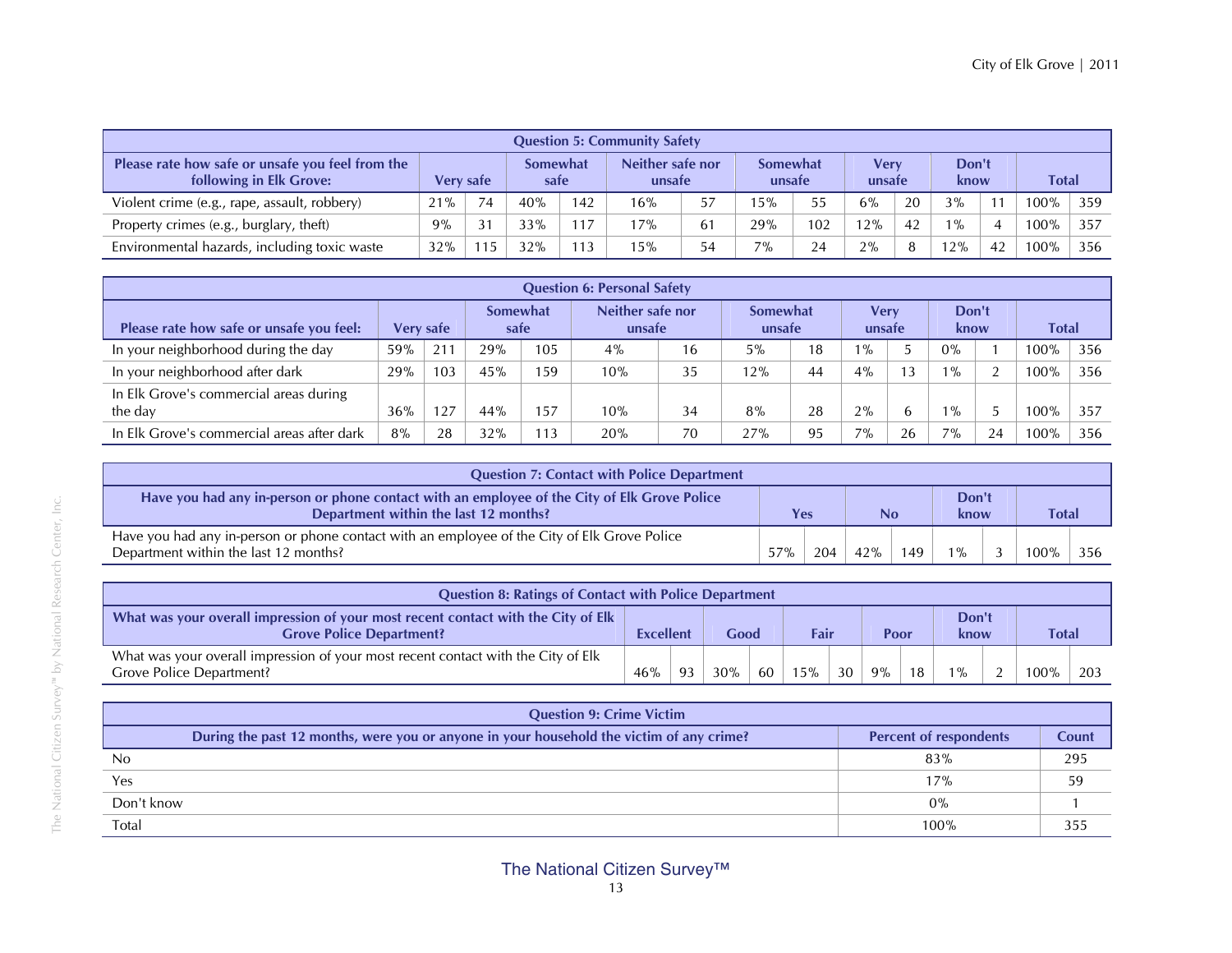| <b>Question 5: Community Safety</b>                                         |                  |    |                         |     |                            |    |                           |     |                       |    |               |    |              |     |
|-----------------------------------------------------------------------------|------------------|----|-------------------------|-----|----------------------------|----|---------------------------|-----|-----------------------|----|---------------|----|--------------|-----|
| Please rate how safe or unsafe you feel from the<br>following in Elk Grove: | <b>Very safe</b> |    | <b>Somewhat</b><br>safe |     | Neither safe nor<br>unsafe |    | <b>Somewhat</b><br>unsafe |     | <b>Verv</b><br>unsafe |    | Don't<br>know |    | <b>Total</b> |     |
| Violent crime (e.g., rape, assault, robbery)                                | 21%              | 74 | 40%                     | 142 | 16%                        | 57 | 5%                        | 55  | 6%                    | 20 | 3%            |    | $100\%$      | 359 |
| Property crimes (e.g., burglary, theft)                                     | 9%               | 31 | 33%                     | 117 | 17%                        | 61 | 29%                       | 102 | 12%                   | 42 | $1\%$         |    | $100\%$      | 357 |
| Environmental hazards, including toxic waste                                | 32%              | 15 | 32%                     | 113 | 15%                        | 54 | $7\%$                     | 24  | 2%                    | я  | 2%            | 42 | $100\%$      | 356 |

|                                                   |     |           |                  |            | <b>Question 6: Personal Safety</b> |    |                    |    |                |    |               |               |              |     |
|---------------------------------------------------|-----|-----------|------------------|------------|------------------------------------|----|--------------------|----|----------------|----|---------------|---------------|--------------|-----|
| Please rate how safe or unsafe you feel:          |     | Very safe | Somewhat<br>safe |            | Neither safe nor<br>unsafe         |    | Somewhat<br>unsafe |    | Verv<br>unsafe |    | Don't<br>know |               | <b>Total</b> |     |
| In your neighborhood during the day               | 59% | 211       | 29%              | 105        | $4\%$                              | 16 | 5%                 | 18 | $1\%$          |    | $0\%$         |               | 100%         | 356 |
| In your neighborhood after dark                   | 29% | 103       | 45%              | 159        | 10%                                | 35 | 12%                | 44 | $4\%$          |    | $\frac{9}{6}$ | $\mathcal{D}$ | 100%         | 356 |
| In Elk Grove's commercial areas during<br>the day | 36% | .27       | 44%              | 157        | 10%                                | 34 | 8%                 | 28 | $2\%$          |    | $\frac{9}{6}$ |               | $00\%$       | 357 |
| In Elk Grove's commercial areas after dark        | 8%  | 28        | 32%              | $\vert$ 13 | 20%                                | 70 | 27%                | 95 | $7\%$          | 26 | 7%            | 24            | 100%         | 356 |

| <b>Question 7: Contact with Police Department</b>                                                                                     |     |     |     |     |               |  |       |  |  |
|---------------------------------------------------------------------------------------------------------------------------------------|-----|-----|-----|-----|---------------|--|-------|--|--|
| Have you had any in-person or phone contact with an employee of the City of Elk Grove Police<br>Department within the last 12 months? | Yes |     | No  |     | Don't<br>know |  | Total |  |  |
| Have you had any in-person or phone contact with an employee of the City of Elk Grove Police<br>Department within the last 12 months? | 57% | 204 | 42% | 149 |               |  | 100%  |  |  |

| <b>Question 8: Ratings of Contact with Police Department</b>                                                         |                  |    |        |    |             |    |      |    |               |               |              |     |
|----------------------------------------------------------------------------------------------------------------------|------------------|----|--------|----|-------------|----|------|----|---------------|---------------|--------------|-----|
| What was your overall impression of your most recent contact with the City of Elk<br><b>Grove Police Department?</b> | <b>Excellent</b> |    | Good   |    | <b>Fair</b> |    | Poor |    | Don't<br>know |               | <b>Total</b> |     |
| What was your overall impression of your most recent contact with the City of Elk<br>Grove Police Department?        | 46%              | 93 | $30\%$ | 60 | 15%         | 30 | 9%   | 18 | $1\%$         | $\mathcal{D}$ | $100\%$      | 203 |

| <b>Question 9: Crime Victim</b>                                                          |                               |       |
|------------------------------------------------------------------------------------------|-------------------------------|-------|
| During the past 12 months, were you or anyone in your household the victim of any crime? | <b>Percent of respondents</b> | Count |
| No                                                                                       | 83%                           | 295   |
| Yes                                                                                      | 17%                           | 59    |
| Don't know                                                                               | 0%                            |       |
| Total                                                                                    | 100%                          | 355   |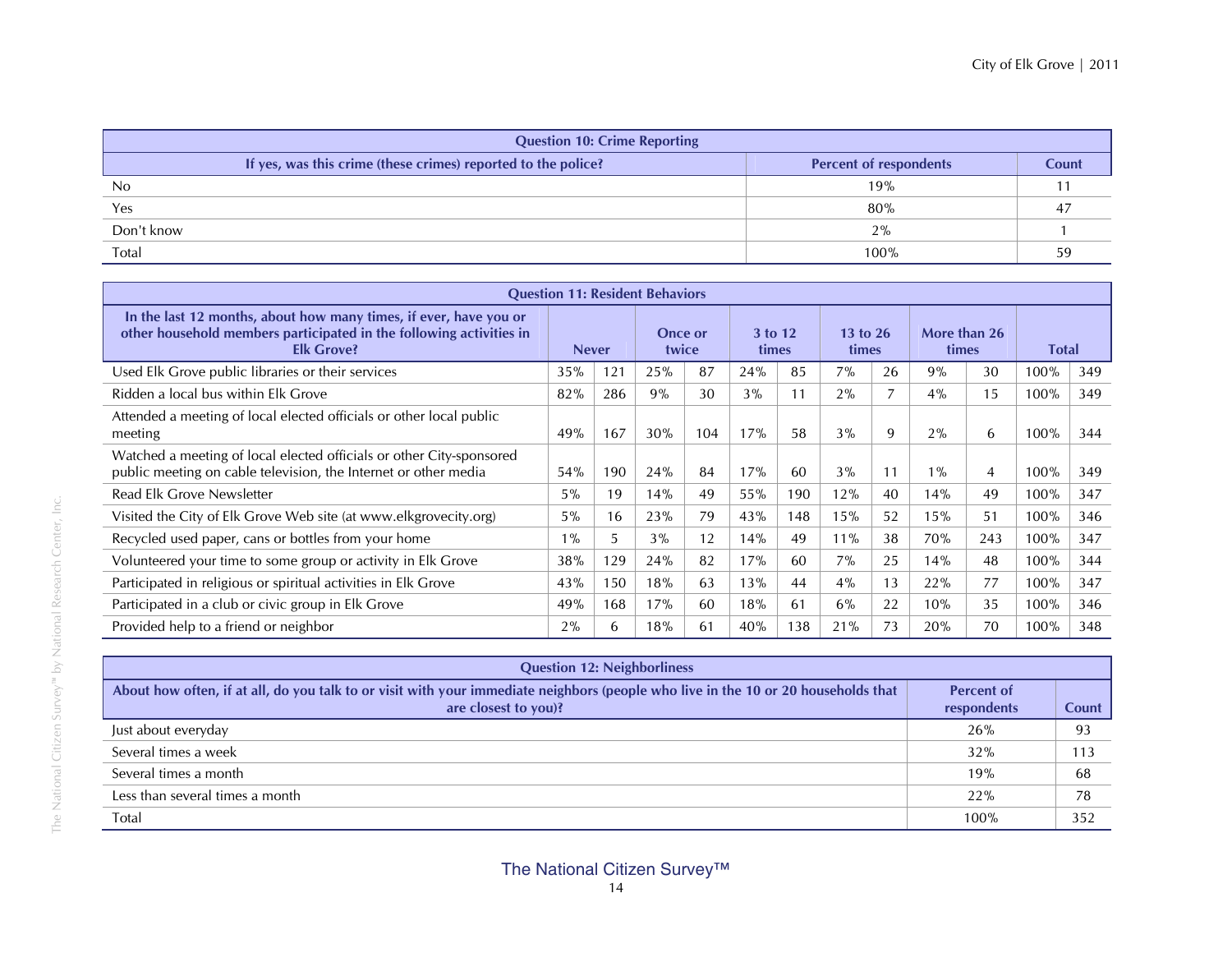| <b>Question 10: Crime Reporting</b>                           |                               |       |
|---------------------------------------------------------------|-------------------------------|-------|
| If yes, was this crime (these crimes) reported to the police? | <b>Percent of respondents</b> | Count |
| No                                                            | 19%                           |       |
| Yes                                                           | 80%                           |       |
| Don't know                                                    | 2%                            |       |
| Total                                                         | 100%                          | 59    |

|                                                                                                                                                               |              |     | <b>Question 11: Resident Behaviors</b> |     |                         |     |                   |    |                       |     |              |     |
|---------------------------------------------------------------------------------------------------------------------------------------------------------------|--------------|-----|----------------------------------------|-----|-------------------------|-----|-------------------|----|-----------------------|-----|--------------|-----|
| In the last 12 months, about how many times, if ever, have you or<br>other household members participated in the following activities in<br><b>Elk Grove?</b> | <b>Never</b> |     | <b>Once or</b><br>twice                |     | 3 to 12<br><b>times</b> |     | 13 to 26<br>times |    | More than 26<br>times |     | <b>Total</b> |     |
| Used Elk Grove public libraries or their services                                                                                                             | 35%          | 121 | 25%                                    | 87  | 24%                     | 85  | 7%                | 26 | 9%                    | 30  | 100%         | 349 |
| Ridden a local bus within Elk Grove                                                                                                                           | 82%          | 286 | 9%                                     | 30  | 3%                      | 11  | $2\%$             | 7  | 4%                    | 15  | 100%         | 349 |
| Attended a meeting of local elected officials or other local public<br>meeting                                                                                | 49%          | 167 | 30%                                    | 104 | 17%                     | 58  | 3%                | 9  | 2%                    | 6   | $100\%$      | 344 |
| Watched a meeting of local elected officials or other City-sponsored<br>public meeting on cable television, the Internet or other media                       | 54%          | 190 | 24%                                    | 84  | 17%                     | 60  | 3%                | 11 | $1\%$                 | 4   | 100%         | 349 |
| Read Elk Grove Newsletter                                                                                                                                     | 5%           | 19  | 14%                                    | 49  | 55%                     | 190 | 12%               | 40 | 14%                   | 49  | 100%         | 347 |
| Visited the City of Elk Grove Web site (at www.elkgrovecity.org)                                                                                              | $5\%$        | 16  | 23%                                    | 79  | 43%                     | 148 | 15%               | 52 | 15%                   | 51  | 100%         | 346 |
| Recycled used paper, cans or bottles from your home                                                                                                           | $1\%$        | 5.  | 3%                                     | 12  | 14%                     | 49  | $11\%$            | 38 | <b>70%</b>            | 243 | 100%         | 347 |
| Volunteered your time to some group or activity in Elk Grove                                                                                                  | 38%          | 129 | 24%                                    | 82  | 17%                     | 60  | 7%                | 25 | 14%                   | 48  | 100%         | 344 |
| Participated in religious or spiritual activities in Elk Grove                                                                                                | 43%          | 150 | 18%                                    | 63  | 13%                     | 44  | $4\%$             | 13 | 22%                   | 77  | 100%         | 347 |
| Participated in a club or civic group in Elk Grove                                                                                                            | 49%          | 168 | 17%                                    | 60  | 18%                     | 61  | $6\%$             | 22 | 10%                   | 35  | 100%         | 346 |
| Provided help to a friend or neighbor                                                                                                                         | 2%           | 6   | 18%                                    | 61  | 40%                     | 138 | 21%               | 73 | 20%                   | 70  | 100%         | 348 |

| <b>Question 12: Neighborliness</b>                                                                                                                         |                                  |       |
|------------------------------------------------------------------------------------------------------------------------------------------------------------|----------------------------------|-------|
| About how often, if at all, do you talk to or visit with your immediate neighbors (people who live in the 10 or 20 households that<br>are closest to you)? | <b>Percent of</b><br>respondents | Count |
| Just about everyday                                                                                                                                        | 26%                              | 93    |
| Several times a week                                                                                                                                       | 32%                              | 113   |
| Several times a month                                                                                                                                      | 19%                              | 68    |
| Less than several times a month                                                                                                                            | 22%                              | 78    |
| Total                                                                                                                                                      | 100%                             | 352   |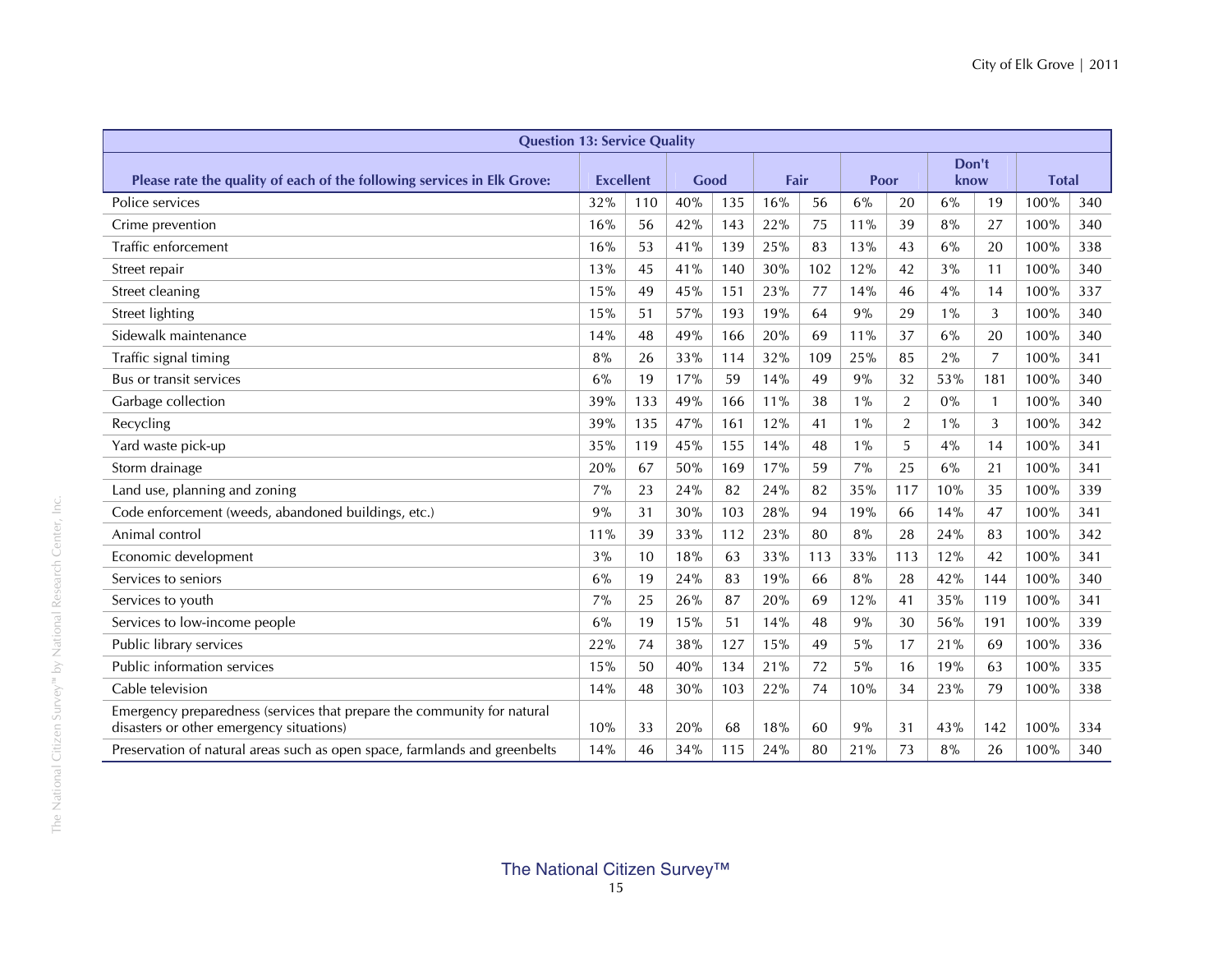| <b>Question 13: Service Quality</b> |                                                                                                 |                                     |                   |                          |                   |                        |                 |                        |                 |                                  |                                      |
|-------------------------------------|-------------------------------------------------------------------------------------------------|-------------------------------------|-------------------|--------------------------|-------------------|------------------------|-----------------|------------------------|-----------------|----------------------------------|--------------------------------------|
|                                     |                                                                                                 |                                     |                   |                          |                   |                        |                 |                        |                 |                                  |                                      |
|                                     |                                                                                                 |                                     |                   |                          |                   |                        |                 |                        |                 |                                  |                                      |
|                                     |                                                                                                 |                                     |                   |                          |                   |                        |                 |                        |                 |                                  | 340                                  |
| 16%                                 | 56                                                                                              | 42%                                 | 143               | 22%                      | 75                | 11%                    | 39              | 8%                     | 27              | 100%                             | 340                                  |
| 16%                                 | 53                                                                                              | 41%                                 | 139               | 25%                      | 83                | 13%                    | 43              | 6%                     | 20              | 100%                             | 338                                  |
| 13%                                 | 45                                                                                              | 41%                                 | 140               | 30%                      | 102               | 12%                    | 42              | 3%                     | 11              | 100%                             | 340                                  |
| 15%                                 | 49                                                                                              | 45%                                 | 151               | 23%                      | 77                | 14%                    | 46              | 4%                     | 14              | 100%                             | 337                                  |
| $15%$                               | 51                                                                                              | 57%                                 | 193               | 19%                      | 64                | 9%                     | 29              | $1\%$                  | 3               | 100%                             | 340                                  |
| 14%                                 | 48                                                                                              | 49%                                 | 166               | 20%                      | 69                | 11%                    | 37              | 6%                     | 20              | 100%                             | 340                                  |
| 8%                                  | 26                                                                                              | 33%                                 | 114               | 32%                      | 109               | 25%                    | 85              | 2%                     | 7               | 100%                             | 341                                  |
| 6%                                  | 19                                                                                              | 17%                                 | 59                | 14%                      | 49                | 9%                     | 32              | 53%                    | 181             | 100%                             | 340                                  |
| 39%                                 | 133                                                                                             | 49%                                 | 166               | 11%                      | 38                | $1\%$                  | 2               | $0\%$                  | $\mathbf{1}$    | 100%                             | 340                                  |
| 39%                                 | 135                                                                                             | 47%                                 | 161               | 12%                      | 41                | $1\%$                  | $\overline{2}$  | $1\%$                  | 3               | 100%                             | 342                                  |
| 35%                                 | 119                                                                                             | 45%                                 | 155               | 14%                      | 48                | $1\%$                  | 5               | 4%                     | 14              | 100%                             | 341                                  |
| 20%                                 | 67                                                                                              | 50%                                 | 169               | 17%                      | 59                | 7%                     | 25              | 6%                     | 21              | 100%                             | 341                                  |
| 7%                                  | 23                                                                                              | 24%                                 | 82                | 24%                      | 82                | 35%                    | 117             | 10%                    | 35              | 100%                             | 339                                  |
| 9%                                  | 31                                                                                              | 30%                                 | 103               | 28%                      | 94                | 19%                    | 66              | 14%                    | 47              | 100%                             | 341                                  |
| 11%                                 | 39                                                                                              | 33%                                 | 112               | 23%                      | 80                | 8%                     | 28              | 24%                    | 83              | 100%                             | 342                                  |
| 3%                                  | 10                                                                                              | 18%                                 | 63                | 33%                      | 113               | 33%                    | 113             | 12%                    | 42              | 100%                             | 341                                  |
| 6%                                  | 19                                                                                              | 24%                                 | 83                | 19%                      | 66                | 8%                     | 28              | 42%                    | 144             | 100%                             | 340                                  |
| 7%                                  | 25                                                                                              | 26%                                 | 87                | 20%                      | 69                | 12%                    | 41              | 35%                    | 119             | 100%                             | 341                                  |
| 6%                                  | 19                                                                                              | 15%                                 | 51                | 14%                      | 48                | 9%                     | 30              | 56%                    | 191             | 100%                             | 339                                  |
| 22%                                 | 74                                                                                              | 38%                                 | 127               | 15%                      | 49                | 5%                     | 17              | 21%                    | 69              | 100%                             | 336                                  |
| 15%                                 | 50                                                                                              | 40%                                 | 134               | 21%                      | 72                | 5%                     | 16              | 19%                    | 63              | 100%                             | 335                                  |
| 14%                                 | 48                                                                                              | 30%                                 | 103               | 22%                      | 74                | 10%                    | 34              | 23%                    | 79              | 100%                             | 338                                  |
|                                     |                                                                                                 |                                     |                   |                          |                   |                        |                 |                        |                 |                                  | 334                                  |
|                                     |                                                                                                 |                                     |                   |                          |                   |                        |                 |                        |                 |                                  | 340                                  |
|                                     | 32%<br>10%<br>14%<br>Preservation of natural areas such as open space, farmlands and greenbelts | <b>Excellent</b><br>110<br>33<br>46 | 40%<br>20%<br>34% | Good<br>135<br>68<br>115 | 16%<br>18%<br>24% | Fair<br>56<br>60<br>80 | 6%<br>9%<br>21% | Poor<br>20<br>31<br>73 | 6%<br>43%<br>8% | Don't<br>know<br>19<br>142<br>26 | <b>Total</b><br>100%<br>100%<br>100% |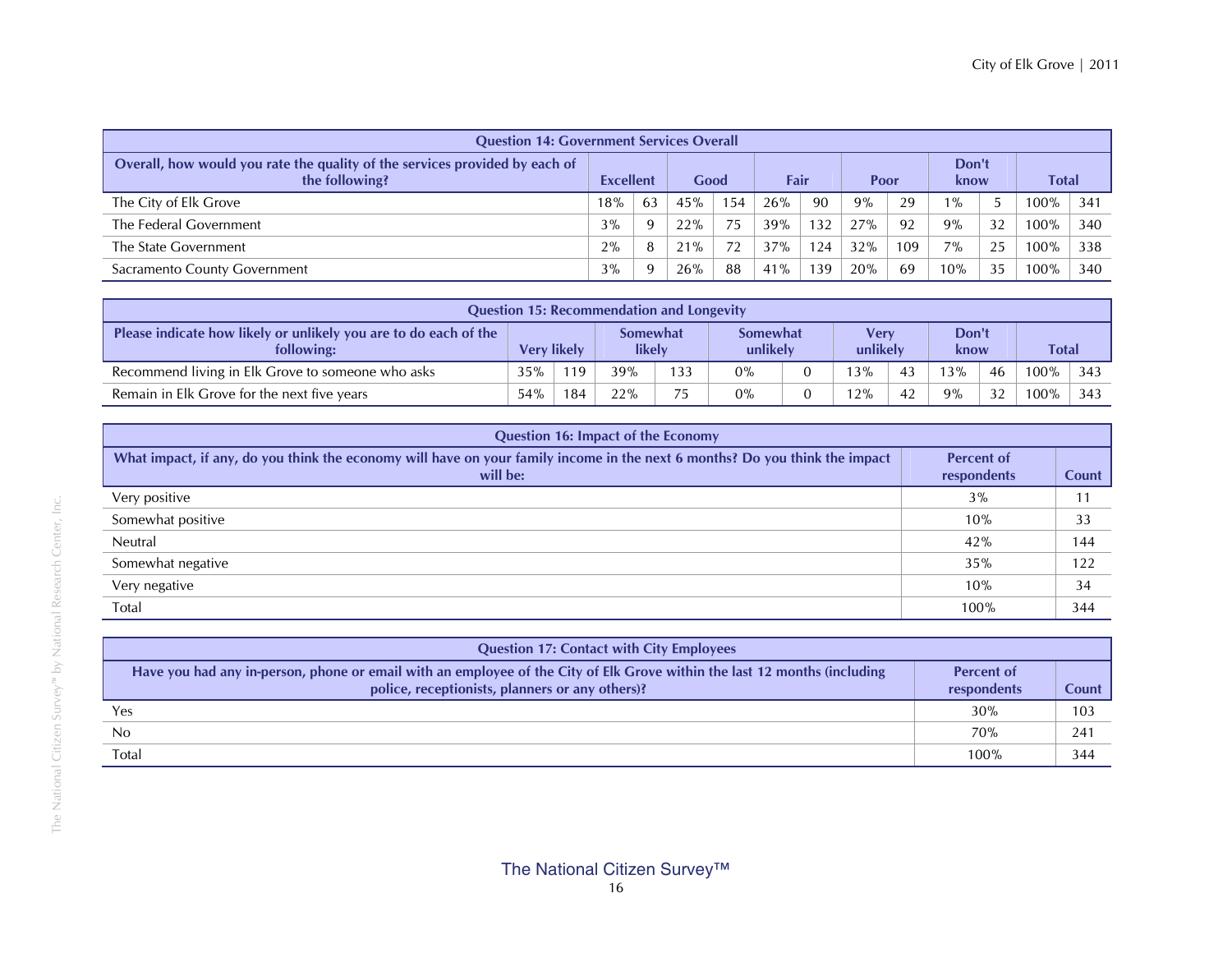| <b>Question 14: Government Services Overall</b>                                               |                  |          |      |     |      |     |      |     |               |    |         |     |       |  |
|-----------------------------------------------------------------------------------------------|------------------|----------|------|-----|------|-----|------|-----|---------------|----|---------|-----|-------|--|
| Overall, how would you rate the quality of the services provided by each of<br>the following? | <b>Excellent</b> |          | Good |     | Fair |     | Poor |     | Don't<br>know |    |         |     | Total |  |
| The City of Elk Grove                                                                         | 18%              | 63       | 45%  | 154 | 26%  | 90  | 9%   | 29  | $\%$          |    | $00\%$  | 341 |       |  |
| The Federal Government                                                                        | 3%               | 9        | 22%  | 75  | 39%  | 132 | 27%  | 92  | $9\%$         | 32 | $100\%$ | 340 |       |  |
| The State Government                                                                          | 2%               | 8        | 21%  |     | 37%  | 124 | 32%  | 109 | $7\%$         | 25 | $00\%$  | 338 |       |  |
| Sacramento County Government                                                                  | 3%               | <b>q</b> | 26%  | 88  | 41%  | 139 | 20%  | 69  | 10%           | 35 | $00\%$  | 340 |       |  |

| <b>Question 15: Recommendation and Longevity</b>                               |                    |     |                           |     |                             |  |                  |    |               |    |              |     |
|--------------------------------------------------------------------------------|--------------------|-----|---------------------------|-----|-----------------------------|--|------------------|----|---------------|----|--------------|-----|
| Please indicate how likely or unlikely you are to do each of the<br>following: | <b>Very likely</b> |     | <b>Somewhat</b><br>likely |     | <b>Somewhat</b><br>unlikely |  | Verv<br>unlikely |    | Don't<br>know |    | <b>Total</b> |     |
| Recommend living in Elk Grove to someone who asks                              | 35%                | 19  | 39%                       | 133 | 0%                          |  | 13%              | 43 | 13%           | 46 | $100\%$      | 343 |
| Remain in Elk Grove for the next five years                                    | 54%                | 184 | 22%                       | フロ  | 0%                          |  | 12%              | 42 | 9%            | 32 | $100\%$      | 343 |

| <b>Question 16: Impact of the Economy</b>                                                                                               |                                  |       |
|-----------------------------------------------------------------------------------------------------------------------------------------|----------------------------------|-------|
| What impact, if any, do you think the economy will have on your family income in the next 6 months? Do you think the impact<br>will be: | <b>Percent of</b><br>respondents | Count |
| Very positive                                                                                                                           | 3%                               |       |
| Somewhat positive                                                                                                                       | 10%                              | 33    |
| Neutral                                                                                                                                 | 42%                              | 144   |
| Somewhat negative                                                                                                                       | 35%                              | 122   |
| Very negative                                                                                                                           | 10%                              | 34    |
| Total                                                                                                                                   | 100%                             | 344   |

| <b>Question 17: Contact with City Employees</b>                                                                                                                              |                                  |       |
|------------------------------------------------------------------------------------------------------------------------------------------------------------------------------|----------------------------------|-------|
| Have you had any in-person, phone or email with an employee of the City of Elk Grove within the last 12 months (including<br>police, receptionists, planners or any others)? | <b>Percent of</b><br>respondents | Count |
| Yes                                                                                                                                                                          | 30%                              | 103   |
| No                                                                                                                                                                           | 70%                              | 241   |
| Total                                                                                                                                                                        | 100%                             | 344   |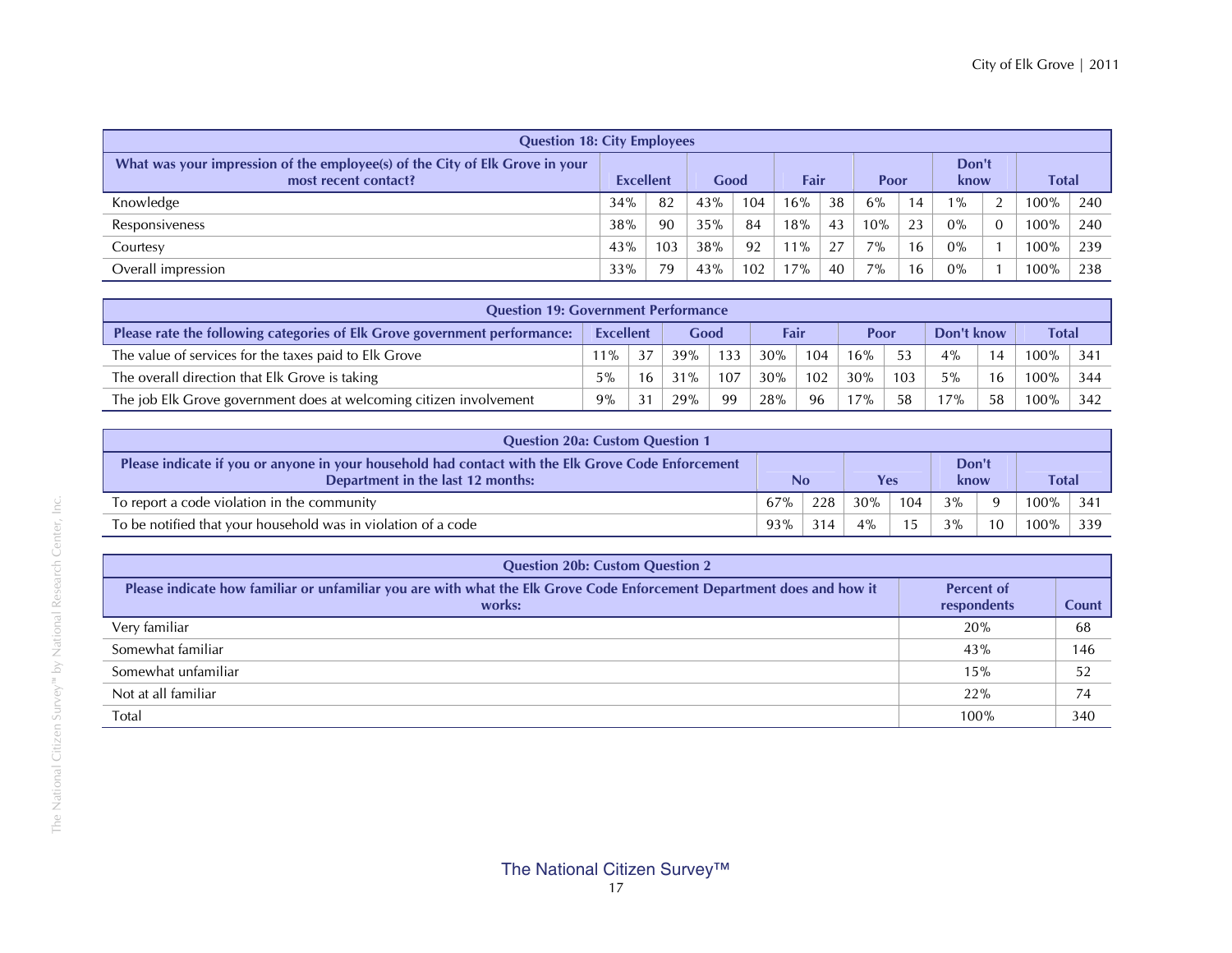| <b>Question 18: City Employees</b>                                                                   |                  |     |      |     |        |    |       |                       |       |               |         |       |
|------------------------------------------------------------------------------------------------------|------------------|-----|------|-----|--------|----|-------|-----------------------|-------|---------------|---------|-------|
| What was your impression of the employee(s) of the City of Elk Grove in your<br>most recent contact? | <b>Excellent</b> |     | Good |     | Fair   |    |       | Don't<br>Poor<br>know |       |               |         | Total |
| Knowledge                                                                                            | 34%              | 82  | 43%  | 104 | $16\%$ | 38 | 6%    | 14                    | $1\%$ | $\mathcal{D}$ | $00\%$  | 240   |
| Responsiveness                                                                                       | 38%              | 90  | 35%  | 84  | 18%    | 43 | 10%   | 23                    | $0\%$ | $\Omega$      | 100%    | 240   |
| Courtesy                                                                                             | 43%              | 103 | 38%  | 92  | $11\%$ | 27 | $7\%$ | 16                    | $0\%$ |               | 100%    | 239   |
| Overall impression                                                                                   | 33%              | 79  | 43%  | 102 | $7\%$  | 40 | $7\%$ | 16                    | 0%    |               | $100\%$ | 238   |

| <b>Question 19: Government Performance</b>                                |                  |    |      |     |      |     |      |     |            |    |              |     |
|---------------------------------------------------------------------------|------------------|----|------|-----|------|-----|------|-----|------------|----|--------------|-----|
| Please rate the following categories of Elk Grove government performance: | <b>Excellent</b> |    | Good |     | Fair |     | Poor |     | Don't know |    | <b>Total</b> |     |
| The value of services for the taxes paid to Elk Grove                     | $11\%$           | 37 | 39%  | 133 | 30%  | 104 | 16%  | 53  | 4%         | 14 | $100\%$      | 341 |
| The overall direction that Elk Grove is taking                            | $5\%$            | 16 | 31%  | 107 | 30%  | 102 | 30%  | 103 | 5%         | 16 | $100\%$      | 344 |
| The job Elk Grove government does at welcoming citizen involvement        | 9%               | 31 | 29%  | 99  | 28%  | 96  | 7%   | 58  | 7%         | 58 | $100\%$      | 342 |

| <b>Question 20a: Custom Question 1</b>                                                                                                  |     |     |        |     |               |          |              |      |
|-----------------------------------------------------------------------------------------------------------------------------------------|-----|-----|--------|-----|---------------|----------|--------------|------|
| Please indicate if you or anyone in your household had contact with the Elk Grove Code Enforcement<br>Department in the last 12 months: | No  |     | Yes    |     | Don't<br>know |          | <b>Total</b> |      |
| To report a code violation in the community                                                                                             | 67% | 228 | $30\%$ | 104 | 3%            | $\Omega$ | 100%         | -341 |
| To be notified that your household was in violation of a code                                                                           | 93% | 314 | $4\%$  | 1.5 | 3%            | 10       | 100%         | 339  |

| <b>Question 20b: Custom Question 2</b>                                                                                           |                                  |              |  |  |  |  |  |  |
|----------------------------------------------------------------------------------------------------------------------------------|----------------------------------|--------------|--|--|--|--|--|--|
| Please indicate how familiar or unfamiliar you are with what the Elk Grove Code Enforcement Department does and how it<br>works: | <b>Percent of</b><br>respondents | <b>Count</b> |  |  |  |  |  |  |
| Very familiar                                                                                                                    | 20%                              | 68           |  |  |  |  |  |  |
| Somewhat familiar                                                                                                                | 43%                              | 146          |  |  |  |  |  |  |
| Somewhat unfamiliar                                                                                                              | 15%                              | 52           |  |  |  |  |  |  |
| Not at all familiar                                                                                                              | 22%                              | 74           |  |  |  |  |  |  |
| Total                                                                                                                            | 100%                             | 340          |  |  |  |  |  |  |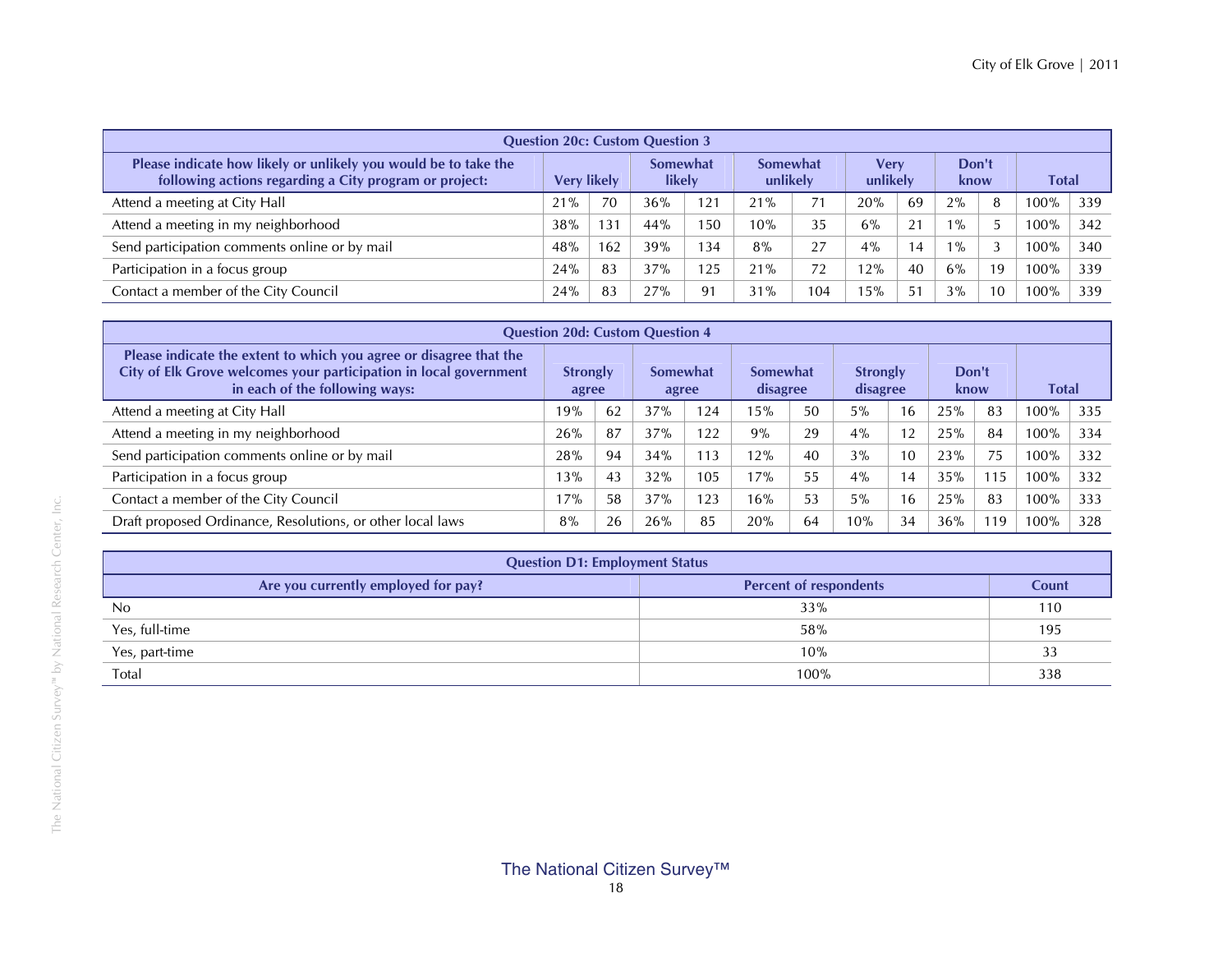| <b>Question 20c: Custom Question 3</b>                                                                                    |                    |     |                    |      |                             |     |                  |    |               |    |              |     |
|---------------------------------------------------------------------------------------------------------------------------|--------------------|-----|--------------------|------|-----------------------------|-----|------------------|----|---------------|----|--------------|-----|
| Please indicate how likely or unlikely you would be to take the<br>following actions regarding a City program or project: | <b>Very likely</b> |     | Somewhat<br>likely |      | <b>Somewhat</b><br>unlikely |     | Verv<br>unlikely |    | Don't<br>know |    | <b>Total</b> |     |
| Attend a meeting at City Hall                                                                                             | 21%                | 70  | 36%                | 121  | 21%                         |     | 20%              | 69 | 2%            | 8  | 100%         | 339 |
| Attend a meeting in my neighborhood                                                                                       | 38%                | 131 | 44%                | .50  | 10%                         | 35  | 6%               | 21 | $1\%$         |    | $00\%$       | 342 |
| Send participation comments online or by mail                                                                             | 48%                | 162 | 39%                | 34   | 8%                          | 27  | 4%               | 14 | $1\%$         | 3  | $00\%$       | 340 |
| Participation in a focus group                                                                                            | 24%                | 83  | 37%                | i 25 | 21%                         | 72  | 12%              | 40 | 6%            | 19 | 00%          | 339 |
| Contact a member of the City Council                                                                                      | 24%                | 83  | 27%                | 91   | 31%                         | 104 | 15%              | 51 | 3%            | 10 | 100%         | 339 |

| <b>Question 20d: Custom Question 4</b>                                                                                                                                    |                          |    |                   |     |                      |    |                             |    |               |     |              |     |
|---------------------------------------------------------------------------------------------------------------------------------------------------------------------------|--------------------------|----|-------------------|-----|----------------------|----|-----------------------------|----|---------------|-----|--------------|-----|
| Please indicate the extent to which you agree or disagree that the<br>City of Elk Grove welcomes your participation in local government<br>in each of the following ways: | <b>Strongly</b><br>agree |    | Somewhat<br>agree |     | Somewhat<br>disagree |    | <b>Strongly</b><br>disagree |    | Don't<br>know |     | <b>Total</b> |     |
| Attend a meeting at City Hall                                                                                                                                             | 19%                      | 62 | 37%               | 124 | 15%                  | 50 | 5%                          | 16 | 25%           | 83  | 100%         | 335 |
| Attend a meeting in my neighborhood                                                                                                                                       | 26%                      | 87 | 37%               | 122 | 9%                   | 29 | 4%                          | 12 | 25%           | 84  | 100%         | 334 |
| Send participation comments online or by mail                                                                                                                             | 28%                      | 94 | 34%               | 113 | 12%                  | 40 | 3%                          | 10 | 23%           | 75  | $100\%$      | 332 |
| Participation in a focus group                                                                                                                                            | 13%                      | 43 | 32%               | 105 | 17%                  | 55 | 4%                          | 14 | 35%           | 115 | 100%         | 332 |
| Contact a member of the City Council                                                                                                                                      | 17%                      | 58 | 37%               | 123 | 16%                  | 53 | 5%                          | 16 | 25%           | 83  | $100\%$      | 333 |
| Draft proposed Ordinance, Resolutions, or other local laws                                                                                                                | 8%                       | 26 | 26%               | 85  | 20%                  | 64 | 10%                         | 34 | 36%           | 19  | 00%          | 328 |

| <b>Question D1: Employment Status</b> |                               |       |  |  |  |  |  |
|---------------------------------------|-------------------------------|-------|--|--|--|--|--|
| Are you currently employed for pay?   | <b>Percent of respondents</b> | Count |  |  |  |  |  |
| N <sub>0</sub>                        | 33%                           | 110   |  |  |  |  |  |
| Yes, full-time                        | 58%                           | 195   |  |  |  |  |  |
| Yes, part-time                        | 10%                           | 33    |  |  |  |  |  |
| Total                                 | 100%                          | 338   |  |  |  |  |  |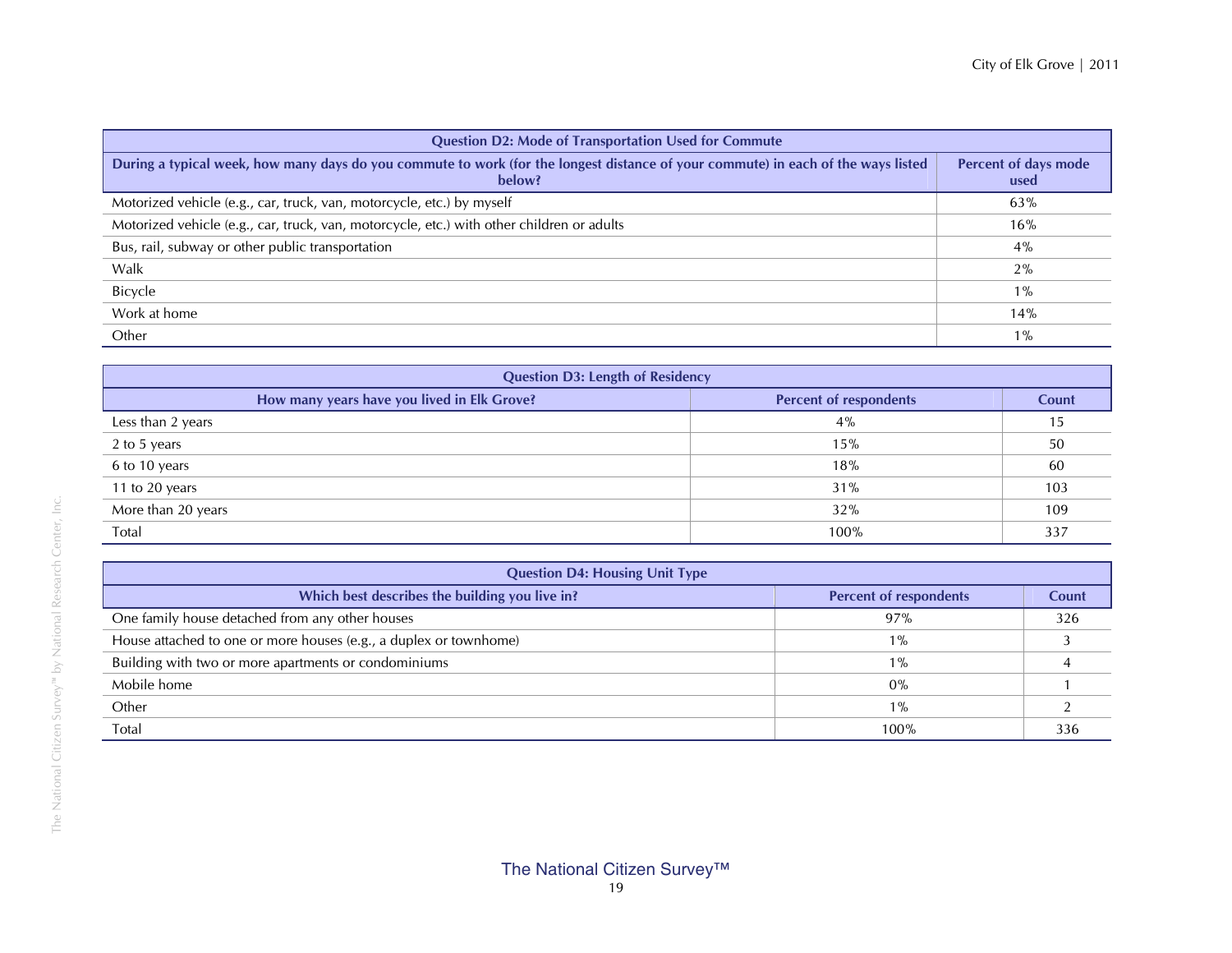| <b>Question D2: Mode of Transportation Used for Commute</b>                                                                                 |                              |  |  |  |  |  |  |
|---------------------------------------------------------------------------------------------------------------------------------------------|------------------------------|--|--|--|--|--|--|
| During a typical week, how many days do you commute to work (for the longest distance of your commute) in each of the ways listed<br>below? | Percent of days mode<br>used |  |  |  |  |  |  |
| Motorized vehicle (e.g., car, truck, van, motorcycle, etc.) by myself                                                                       | 63%                          |  |  |  |  |  |  |
| Motorized vehicle (e.g., car, truck, van, motorcycle, etc.) with other children or adults                                                   | 16%                          |  |  |  |  |  |  |
| Bus, rail, subway or other public transportation                                                                                            | $4\%$                        |  |  |  |  |  |  |
| Walk                                                                                                                                        | 2%                           |  |  |  |  |  |  |
| Bicycle                                                                                                                                     | $1\%$                        |  |  |  |  |  |  |
| Work at home                                                                                                                                | 14%                          |  |  |  |  |  |  |
| Other                                                                                                                                       | $1\%$                        |  |  |  |  |  |  |

| <b>Question D3: Length of Residency</b>     |                               |       |  |  |  |  |  |
|---------------------------------------------|-------------------------------|-------|--|--|--|--|--|
| How many years have you lived in Elk Grove? | <b>Percent of respondents</b> | Count |  |  |  |  |  |
| Less than 2 years                           | 4%                            | 15    |  |  |  |  |  |
| 2 to 5 years                                | 15%                           | 50    |  |  |  |  |  |
| 6 to 10 years                               | 18%                           | 60    |  |  |  |  |  |
| 11 to 20 years                              | 31%                           | 103   |  |  |  |  |  |
| More than 20 years                          | 32%                           | 109   |  |  |  |  |  |
| Total                                       | 100%                          | 337   |  |  |  |  |  |

| <b>Question D4: Housing Unit Type</b>                             |                               |       |  |  |  |  |  |
|-------------------------------------------------------------------|-------------------------------|-------|--|--|--|--|--|
| Which best describes the building you live in?                    | <b>Percent of respondents</b> | Count |  |  |  |  |  |
| One family house detached from any other houses                   | 97%                           | 326   |  |  |  |  |  |
| House attached to one or more houses (e.g., a duplex or townhome) | $1\%$                         |       |  |  |  |  |  |
| Building with two or more apartments or condominiums              | $1\%$                         |       |  |  |  |  |  |
| Mobile home                                                       | $0\%$                         |       |  |  |  |  |  |
| Other                                                             | $1\%$                         |       |  |  |  |  |  |
| Total                                                             | 100%                          | 336   |  |  |  |  |  |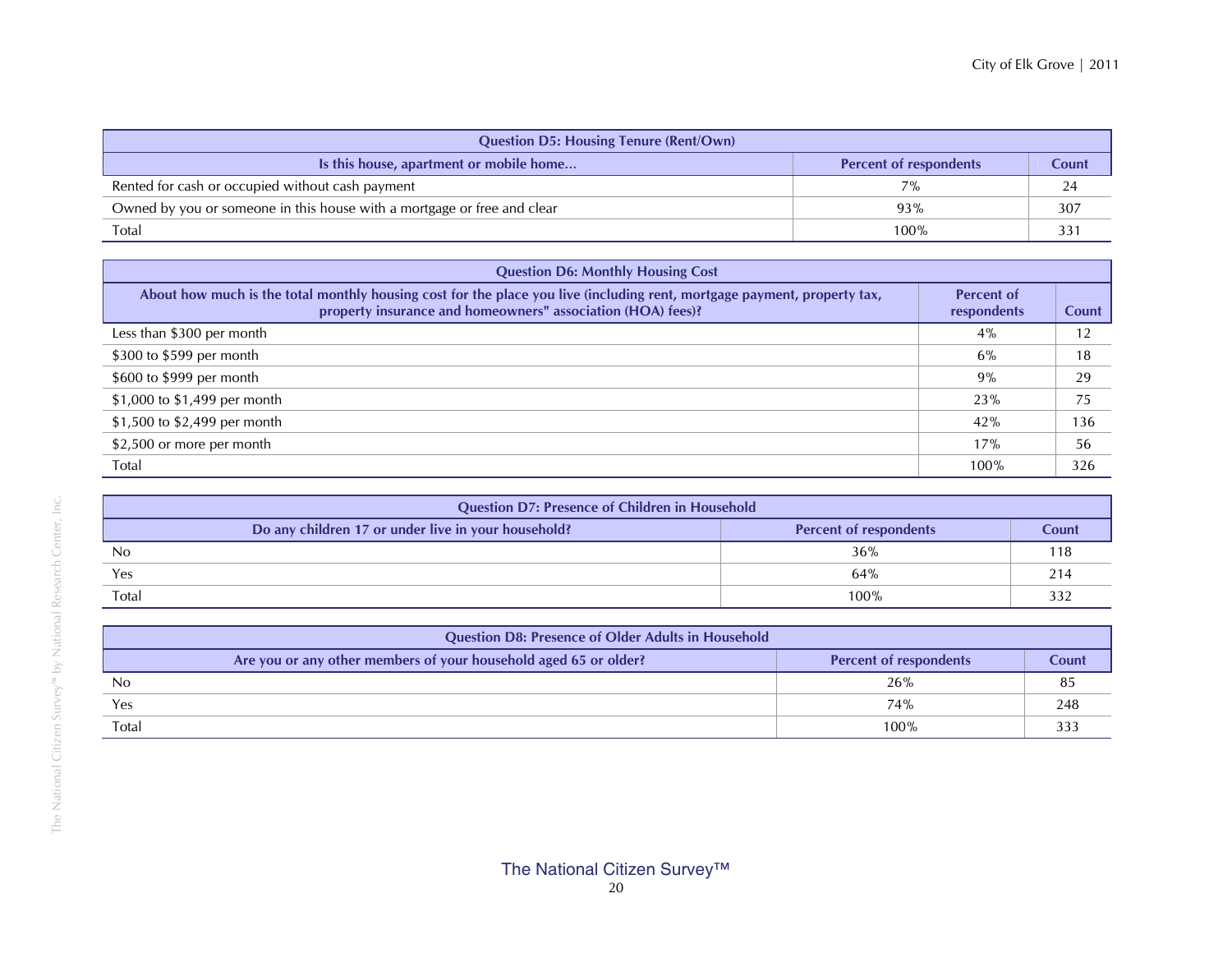| <b>Question D5: Housing Tenure (Rent/Own)</b>                           |                               |       |  |  |  |  |  |
|-------------------------------------------------------------------------|-------------------------------|-------|--|--|--|--|--|
| Is this house, apartment or mobile home                                 | <b>Percent of respondents</b> | Count |  |  |  |  |  |
| Rented for cash or occupied without cash payment                        | 7%                            | 24    |  |  |  |  |  |
| Owned by you or someone in this house with a mortgage or free and clear | 93%                           | 307   |  |  |  |  |  |
| Total                                                                   | 100%                          | 33.   |  |  |  |  |  |

| <b>Question D6: Monthly Housing Cost</b>                                                                                                                                                |                                  |       |  |  |  |  |  |  |
|-----------------------------------------------------------------------------------------------------------------------------------------------------------------------------------------|----------------------------------|-------|--|--|--|--|--|--|
| About how much is the total monthly housing cost for the place you live (including rent, mortgage payment, property tax,<br>property insurance and homeowners" association (HOA) fees)? | <b>Percent of</b><br>respondents | Count |  |  |  |  |  |  |
| Less than \$300 per month                                                                                                                                                               | 4%                               | 12    |  |  |  |  |  |  |
| \$300 to \$599 per month                                                                                                                                                                | 6%                               | 18    |  |  |  |  |  |  |
| \$600 to \$999 per month                                                                                                                                                                | 9%                               | 29    |  |  |  |  |  |  |
| \$1,000 to \$1,499 per month                                                                                                                                                            | 23%                              | 75    |  |  |  |  |  |  |
| \$1,500 to \$2,499 per month                                                                                                                                                            | 42%                              | 136   |  |  |  |  |  |  |
| \$2,500 or more per month                                                                                                                                                               | 17%                              | 56    |  |  |  |  |  |  |
| Total                                                                                                                                                                                   | 100%                             | 326   |  |  |  |  |  |  |

| <b>Question D7: Presence of Children in Household</b>                                |      |                 |
|--------------------------------------------------------------------------------------|------|-----------------|
| Do any children 17 or under live in your household?<br><b>Percent of respondents</b> |      | Count           |
| No                                                                                   | 36%  | ' 18            |
| Yes                                                                                  | 64%  | 21 <sup>2</sup> |
| Total                                                                                | 100% |                 |

| <b>Question D8: Presence of Older Adults in Household</b>                                         |  |       |     |
|---------------------------------------------------------------------------------------------------|--|-------|-----|
| Are you or any other members of your household aged 65 or older?<br><b>Percent of respondents</b> |  | Count |     |
| No                                                                                                |  | 26%   |     |
| Yes                                                                                               |  | 74%   | 248 |
| Total                                                                                             |  | 100%  |     |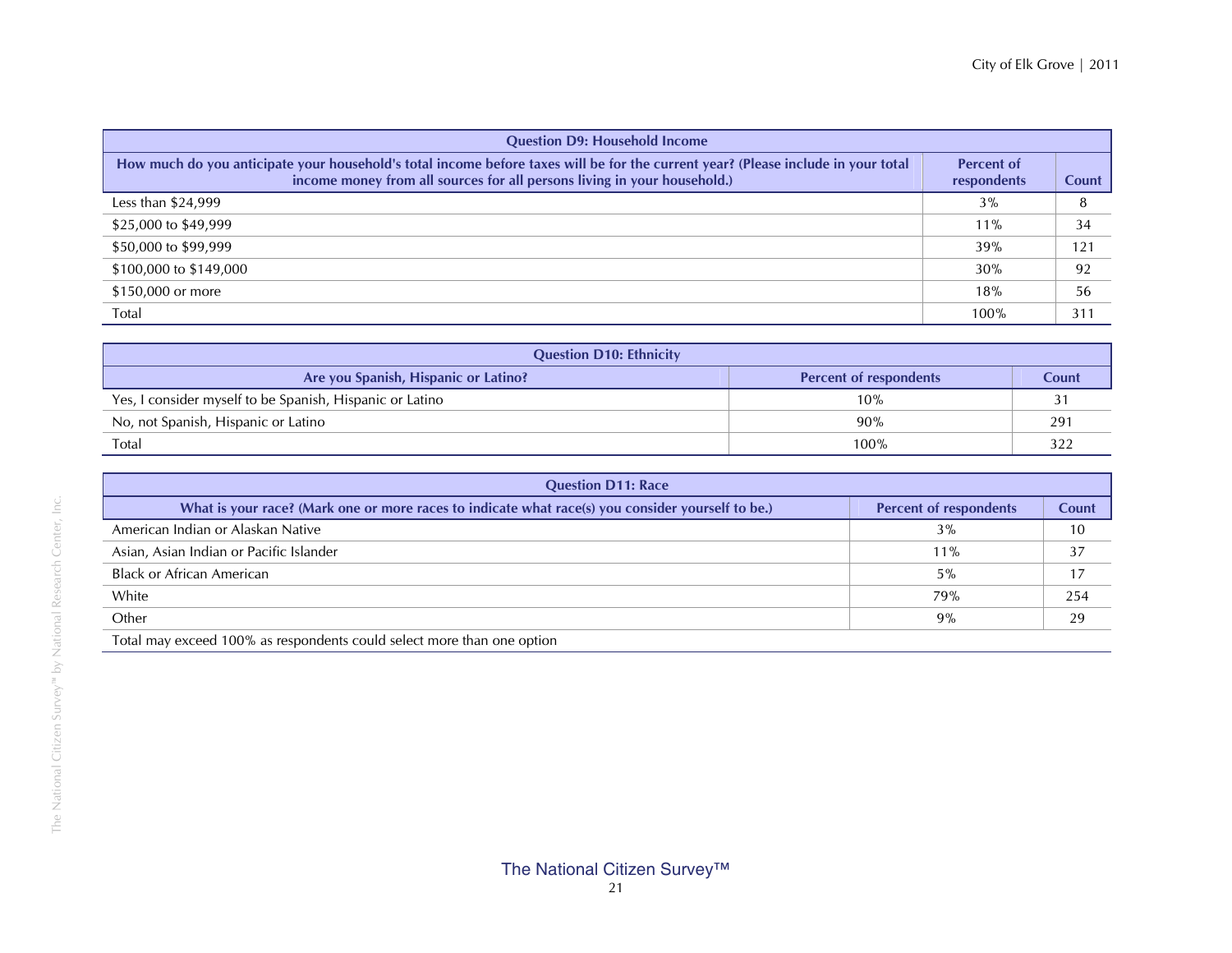| <b>Question D9: Household Income</b>                                                                                                                                                                          |                                  |                 |  |
|---------------------------------------------------------------------------------------------------------------------------------------------------------------------------------------------------------------|----------------------------------|-----------------|--|
| How much do you anticipate your household's total income before taxes will be for the current year? (Please include in your total<br>income money from all sources for all persons living in your household.) | <b>Percent of</b><br>respondents | Count           |  |
| Less than $$24,999$                                                                                                                                                                                           | 3%                               | 8               |  |
| \$25,000 to \$49,999                                                                                                                                                                                          | $11\%$                           | 34              |  |
| \$50,000 to \$99,999                                                                                                                                                                                          | 39%                              | 121             |  |
| \$100,000 to \$149,000                                                                                                                                                                                        | 30%                              | 92              |  |
| \$150,000 or more                                                                                                                                                                                             | 18%                              | 56              |  |
| Total                                                                                                                                                                                                         | 100%                             | 31 <sup>1</sup> |  |

| <b>Question D10: Ethnicity</b>                           |                               |       |  |
|----------------------------------------------------------|-------------------------------|-------|--|
| Are you Spanish, Hispanic or Latino?                     | <b>Percent of respondents</b> | Count |  |
| Yes, I consider myself to be Spanish, Hispanic or Latino | 10%                           |       |  |
| No, not Spanish, Hispanic or Latino                      | 90%                           | 291   |  |
| Total                                                    | 100%                          |       |  |

| <b>Question D11: Race</b>                                                                         |                               |       |  |
|---------------------------------------------------------------------------------------------------|-------------------------------|-------|--|
| What is your race? (Mark one or more races to indicate what race(s) you consider yourself to be.) | <b>Percent of respondents</b> | Count |  |
| American Indian or Alaskan Native                                                                 | 3%                            | 10    |  |
| Asian, Asian Indian or Pacific Islander                                                           | $11\%$                        | 37    |  |
| <b>Black or African American</b>                                                                  | 5%                            | 17    |  |
| White                                                                                             | 79%                           | 254   |  |
| Other                                                                                             | 9%                            | 29    |  |
| Total may exceed 100% as respondents could select more than one option                            |                               |       |  |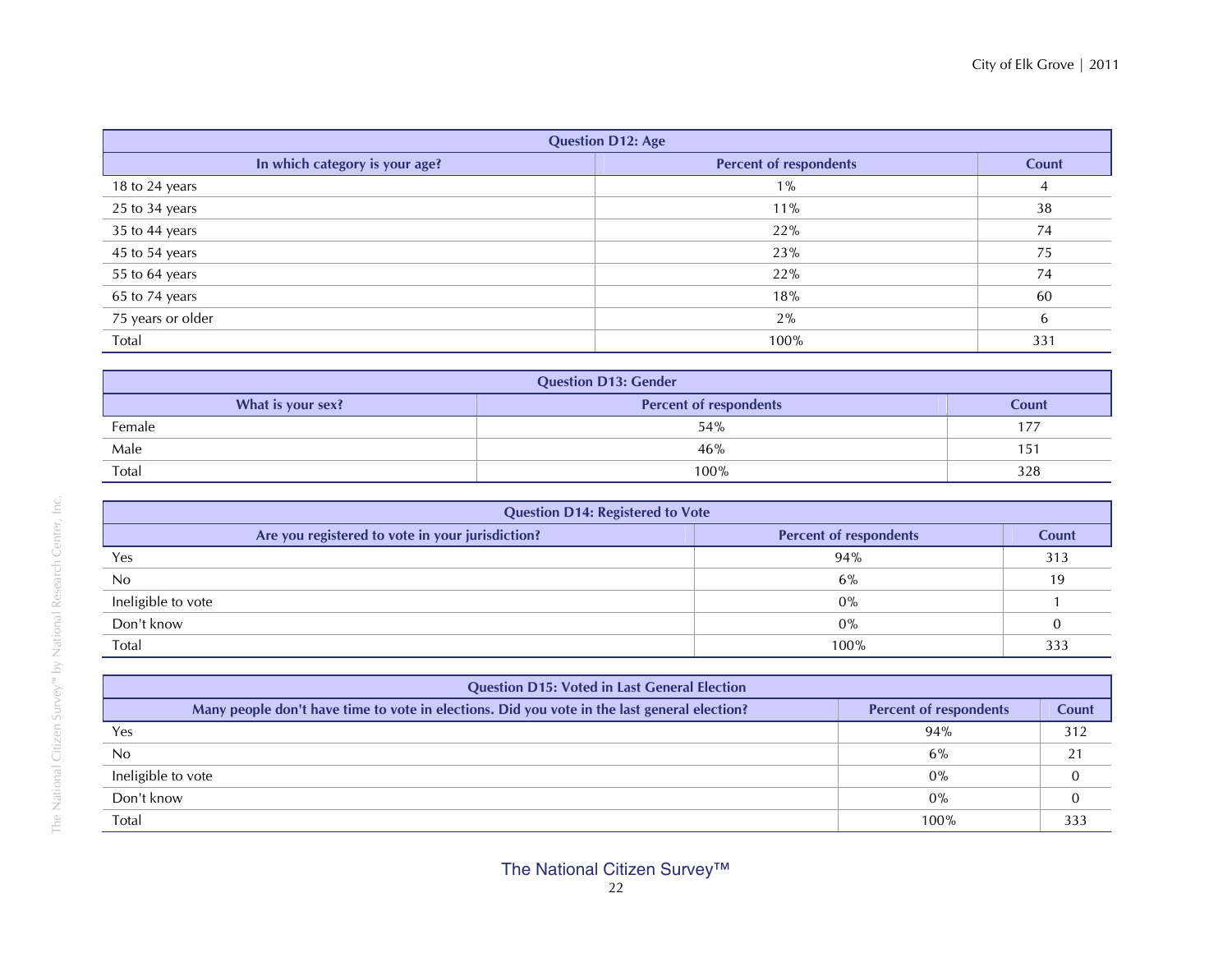| <b>Question D12: Age</b>       |                               |       |  |
|--------------------------------|-------------------------------|-------|--|
| In which category is your age? | <b>Percent of respondents</b> | Count |  |
| 18 to 24 years                 | $1\%$                         | 4     |  |
| 25 to 34 years                 | 11%                           | 38    |  |
| 35 to 44 years                 | 22%                           | 74    |  |
| 45 to 54 years                 | 23%                           | 75    |  |
| 55 to 64 years                 | 22%                           | 74    |  |
| 65 to 74 years                 | 18%                           | 60    |  |
| 75 years or older              | 2%                            | 6     |  |
| Total                          | 100%                          | 331   |  |

| <b>Question D13: Gender</b>                                 |      |     |  |
|-------------------------------------------------------------|------|-----|--|
| <b>Percent of respondents</b><br>What is your sex?<br>Count |      |     |  |
| Female                                                      | 54%  | 177 |  |
| Male                                                        | 46%  | 151 |  |
| Total                                                       | 100% | 328 |  |

| <b>Question D14: Registered to Vote</b>                                           |      |              |
|-----------------------------------------------------------------------------------|------|--------------|
| Are you registered to vote in your jurisdiction?<br><b>Percent of respondents</b> |      | <b>Count</b> |
| Yes                                                                               | 94%  | 313          |
| No                                                                                | 6%   | 19           |
| Ineligible to vote                                                                | 0%   |              |
| Don't know                                                                        | 0%   |              |
| Total                                                                             | 100% | 333          |

| <b>Question D15: Voted in Last General Election</b>                                                                           |       |     |  |
|-------------------------------------------------------------------------------------------------------------------------------|-------|-----|--|
| Many people don't have time to vote in elections. Did you vote in the last general election?<br><b>Percent of respondents</b> |       |     |  |
| Yes                                                                                                                           | 94%   | 312 |  |
| No                                                                                                                            | 6%    | 21  |  |
| Ineligible to vote                                                                                                            | $0\%$ |     |  |
| Don't know                                                                                                                    | 0%    |     |  |
| Total                                                                                                                         | 100%  | 333 |  |